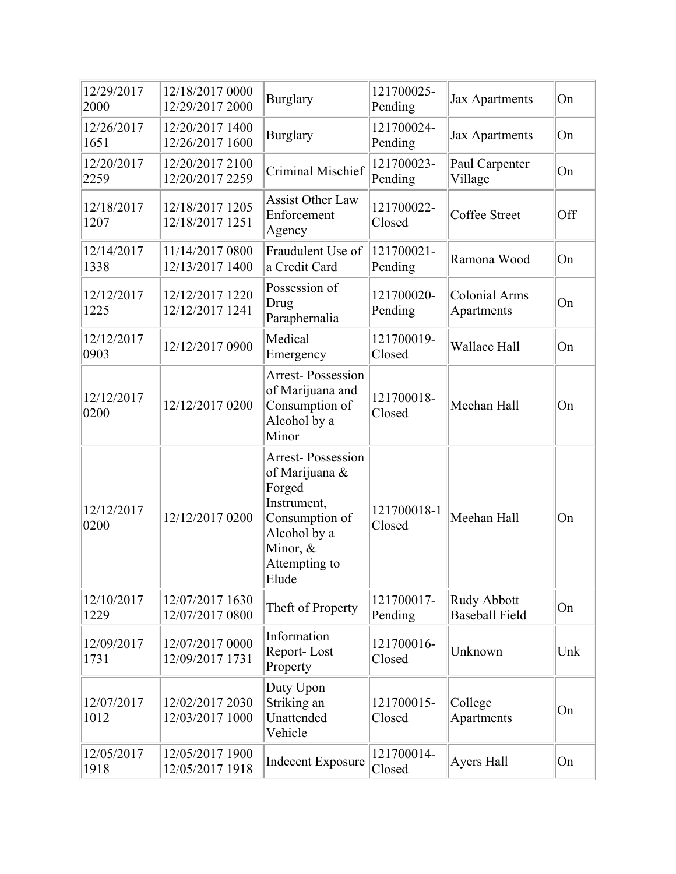| 12/29/2017<br>2000 | 12/18/2017 0000<br>12/29/2017 2000 | <b>Burglary</b>                                                                                                                             | 121700025-<br>Pending | <b>Jax Apartments</b>                | On  |
|--------------------|------------------------------------|---------------------------------------------------------------------------------------------------------------------------------------------|-----------------------|--------------------------------------|-----|
| 12/26/2017<br>1651 | 12/20/2017 1400<br>12/26/2017 1600 | <b>Burglary</b>                                                                                                                             | 121700024-<br>Pending | <b>Jax Apartments</b>                | On  |
| 12/20/2017<br>2259 | 12/20/2017 2100<br>12/20/2017 2259 | Criminal Mischief                                                                                                                           | 121700023-<br>Pending | Paul Carpenter<br>Village            | On  |
| 12/18/2017<br>1207 | 12/18/2017 1205<br>12/18/2017 1251 | <b>Assist Other Law</b><br>Enforcement<br>Agency                                                                                            | 121700022-<br>Closed  | Coffee Street                        | Off |
| 12/14/2017<br>1338 | 11/14/2017 0800<br>12/13/2017 1400 | Fraudulent Use of<br>a Credit Card                                                                                                          | 121700021-<br>Pending | Ramona Wood                          | On  |
| 12/12/2017<br>1225 | 12/12/2017 1220<br>12/12/2017 1241 | Possession of<br>Drug<br>Paraphernalia                                                                                                      | 121700020-<br>Pending | <b>Colonial Arms</b><br>Apartments   | On  |
| 12/12/2017<br>0903 | 12/12/2017 0900                    | Medical<br>Emergency                                                                                                                        | 121700019-<br>Closed  | Wallace Hall                         | On  |
| 12/12/2017<br>0200 | 12/12/2017 0200                    | <b>Arrest-Possession</b><br>of Marijuana and<br>Consumption of<br>Alcohol by a<br>Minor                                                     | 121700018-<br>Closed  | Meehan Hall                          | On  |
| 12/12/2017<br>0200 | 12/12/2017 0200                    | <b>Arrest-Possession</b><br>of Marijuana &<br>Forged<br>Instrument,<br>Consumption of<br>Alcohol by a<br>Minor, &<br>Attempting to<br>Elude | 121700018-1<br>Closed | Meehan Hall                          | On  |
| 12/10/2017<br>1229 | 12/07/2017 1630<br>12/07/2017 0800 | Theft of Property                                                                                                                           | 121700017-<br>Pending | Rudy Abbott<br><b>Baseball Field</b> | On  |
| 12/09/2017<br>1731 | 12/07/2017 0000<br>12/09/2017 1731 | Information<br>Report-Lost<br>Property                                                                                                      | 121700016-<br>Closed  | Unknown                              | Unk |
| 12/07/2017<br>1012 | 12/02/2017 2030<br>12/03/2017 1000 | Duty Upon<br>Striking an<br>Unattended<br>Vehicle                                                                                           | 121700015-<br>Closed  | College<br>Apartments                | On  |
| 12/05/2017<br>1918 | 12/05/2017 1900<br>12/05/2017 1918 | <b>Indecent Exposure</b>                                                                                                                    | 121700014-<br>Closed  | Ayers Hall                           | On  |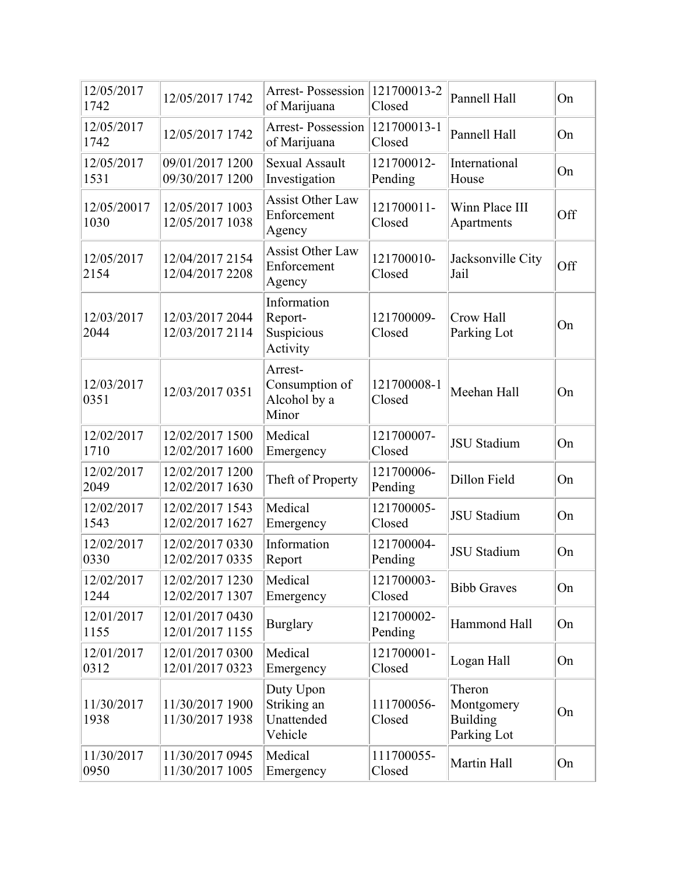| 12/05/2017<br>1742  | 12/05/2017 1742                    | Arrest-Possession<br>of Marijuana                  | 121700013-2<br>Closed | Pannell Hall                                           | On  |
|---------------------|------------------------------------|----------------------------------------------------|-----------------------|--------------------------------------------------------|-----|
| 12/05/2017<br>1742  | 12/05/2017 1742                    | Arrest-Possession<br>of Marijuana                  | 121700013-1<br>Closed | Pannell Hall                                           | On  |
| 12/05/2017<br>1531  | 09/01/2017 1200<br>09/30/2017 1200 | <b>Sexual Assault</b><br>Investigation             | 121700012-<br>Pending | International<br>House                                 | On  |
| 12/05/20017<br>1030 | 12/05/2017 1003<br>12/05/2017 1038 | <b>Assist Other Law</b><br>Enforcement<br>Agency   | 121700011-<br>Closed  | Winn Place III<br>Apartments                           | Off |
| 12/05/2017<br>2154  | 12/04/2017 2154<br>12/04/2017 2208 | <b>Assist Other Law</b><br>Enforcement<br>Agency   | 121700010-<br>Closed  | Jacksonville City<br>Jail                              | Off |
| 12/03/2017<br>2044  | 12/03/2017 2044<br>12/03/2017 2114 | Information<br>Report-<br>Suspicious<br>Activity   | 121700009-<br>Closed  | Crow Hall<br>Parking Lot                               | On  |
| 12/03/2017<br>0351  | 12/03/2017 0351                    | Arrest-<br>Consumption of<br>Alcohol by a<br>Minor | 121700008-1<br>Closed | Meehan Hall                                            | On  |
| 12/02/2017<br>1710  | 12/02/2017 1500<br>12/02/2017 1600 | Medical<br>Emergency                               | 121700007-<br>Closed  | <b>JSU</b> Stadium                                     | On  |
| 12/02/2017<br>2049  | 12/02/2017 1200<br>12/02/2017 1630 | Theft of Property                                  | 121700006-<br>Pending | Dillon Field                                           | On  |
| 12/02/2017<br>1543  | 12/02/2017 1543<br>12/02/2017 1627 | Medical<br>Emergency                               | 121700005-<br>Closed  | <b>JSU Stadium</b>                                     | On  |
| 12/02/2017<br>0330  | 12/02/2017 0330<br>12/02/2017 0335 | Information<br>Report                              | 121700004-<br>Pending | <b>JSU</b> Stadium                                     | On  |
| 12/02/2017<br>1244  | 12/02/2017 1230<br>12/02/2017 1307 | Medical<br>Emergency                               | 121700003-<br>Closed  | <b>Bibb Graves</b>                                     | On  |
| 12/01/2017<br>1155  | 12/01/2017 0430<br>12/01/2017 1155 | <b>Burglary</b>                                    | 121700002-<br>Pending | Hammond Hall                                           | On  |
| 12/01/2017<br>0312  | 12/01/2017 0300<br>12/01/2017 0323 | Medical<br>Emergency                               | 121700001-<br>Closed  | Logan Hall                                             | On  |
| 11/30/2017<br>1938  | 11/30/2017 1900<br>11/30/2017 1938 | Duty Upon<br>Striking an<br>Unattended<br>Vehicle  | 111700056-<br>Closed  | Theron<br>Montgomery<br><b>Building</b><br>Parking Lot | On  |
| 11/30/2017<br>0950  | 11/30/2017 0945<br>11/30/2017 1005 | Medical<br>Emergency                               | 111700055-<br>Closed  | Martin Hall                                            | On  |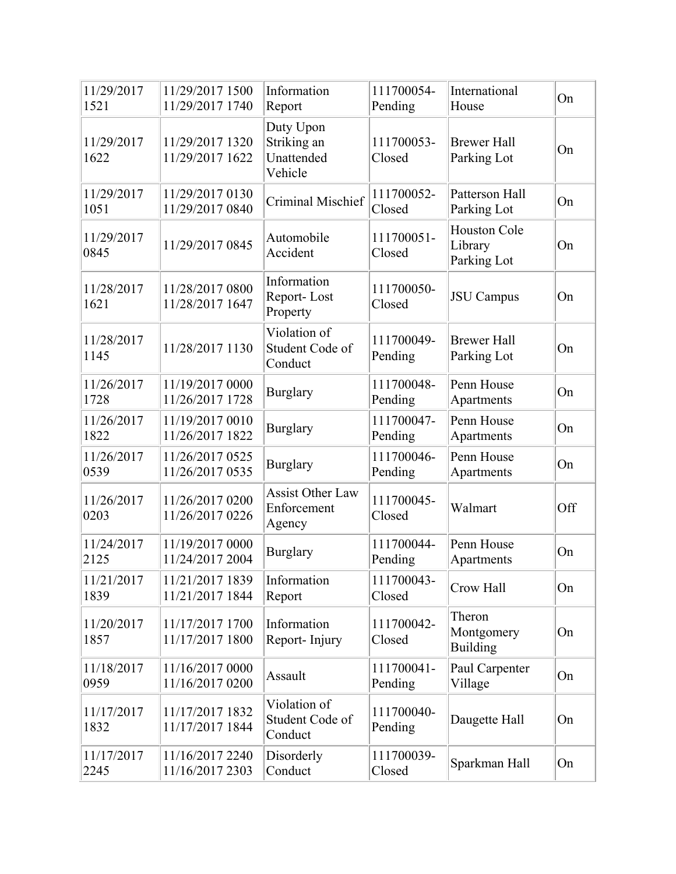| 11/29/2017<br>1521 | 11/29/2017 1500<br>11/29/2017 1740 | Information<br>Report                             | 111700054-<br>Pending | International<br>House                        | On  |
|--------------------|------------------------------------|---------------------------------------------------|-----------------------|-----------------------------------------------|-----|
| 11/29/2017<br>1622 | 11/29/2017 1320<br>11/29/2017 1622 | Duty Upon<br>Striking an<br>Unattended<br>Vehicle | 111700053-<br>Closed  | <b>Brewer Hall</b><br>Parking Lot             | On  |
| 11/29/2017<br>1051 | 11/29/2017 0130<br>11/29/2017 0840 | Criminal Mischief                                 | 111700052-<br>Closed  | Patterson Hall<br>Parking Lot                 | On  |
| 11/29/2017<br>0845 | 11/29/2017 0845                    | Automobile<br>Accident                            | 111700051-<br>Closed  | <b>Houston Cole</b><br>Library<br>Parking Lot | On  |
| 11/28/2017<br>1621 | 11/28/2017 0800<br>11/28/2017 1647 | Information<br>Report-Lost<br>Property            | 111700050-<br>Closed  | <b>JSU</b> Campus                             | On  |
| 11/28/2017<br>1145 | 11/28/2017 1130                    | Violation of<br>Student Code of<br>Conduct        | 111700049-<br>Pending | <b>Brewer Hall</b><br>Parking Lot             | On  |
| 11/26/2017<br>1728 | 11/19/2017 0000<br>11/26/2017 1728 | <b>Burglary</b>                                   | 111700048-<br>Pending | Penn House<br>Apartments                      | On  |
| 11/26/2017<br>1822 | 11/19/2017 0010<br>11/26/2017 1822 | <b>Burglary</b>                                   | 111700047-<br>Pending | Penn House<br>Apartments                      | On  |
| 11/26/2017<br>0539 | 11/26/2017 0525<br>11/26/2017 0535 | <b>Burglary</b>                                   | 111700046-<br>Pending | Penn House<br>Apartments                      | On  |
| 11/26/2017<br>0203 | 11/26/2017 0200<br>11/26/2017 0226 | <b>Assist Other Law</b><br>Enforcement<br>Agency  | 111700045-<br>Closed  | Walmart                                       | Off |
| 11/24/2017<br>2125 | 11/19/2017 0000<br>11/24/2017 2004 | <b>Burglary</b>                                   | 111700044-<br>Pending | Penn House<br>Apartments                      | On  |
| 11/21/2017<br>1839 | 11/21/2017 1839<br>11/21/2017 1844 | Information<br>Report                             | 111700043-<br>Closed  | Crow Hall                                     | On  |
| 11/20/2017<br>1857 | 11/17/2017 1700<br>11/17/2017 1800 | Information<br>Report-Injury                      | 111700042-<br>Closed  | Theron<br>Montgomery<br><b>Building</b>       | On  |
| 11/18/2017<br>0959 | 11/16/2017 0000<br>11/16/2017 0200 | Assault                                           | 111700041-<br>Pending | Paul Carpenter<br>Village                     | On  |
| 11/17/2017<br>1832 | 11/17/2017 1832<br>11/17/2017 1844 | Violation of<br>Student Code of<br>Conduct        | 111700040-<br>Pending | Daugette Hall                                 | On  |
| 11/17/2017<br>2245 | 11/16/2017 2240<br>11/16/2017 2303 | Disorderly<br>Conduct                             | 111700039-<br>Closed  | Sparkman Hall                                 | On  |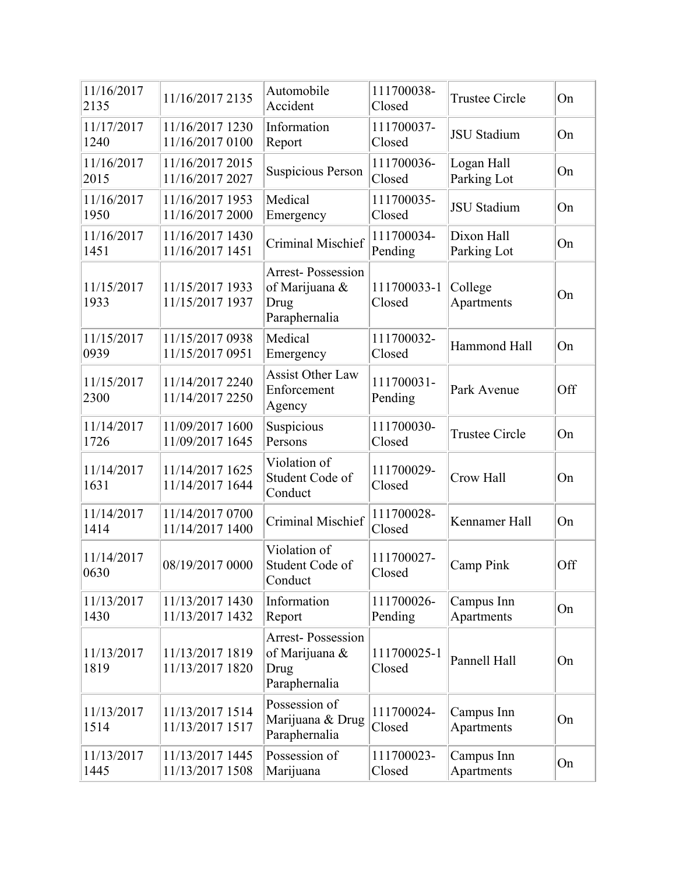| 11/16/2017<br>2135 | 11/16/2017 2135                    | Automobile<br>Accident                                              | 111700038-<br>Closed  | <b>Trustee Circle</b>     | On  |
|--------------------|------------------------------------|---------------------------------------------------------------------|-----------------------|---------------------------|-----|
| 11/17/2017<br>1240 | 11/16/2017 1230<br>11/16/2017 0100 | Information<br>Report                                               | 111700037-<br>Closed  | <b>JSU</b> Stadium        | On  |
| 11/16/2017<br>2015 | 11/16/2017 2015<br>11/16/2017 2027 | <b>Suspicious Person</b>                                            | 111700036-<br>Closed  | Logan Hall<br>Parking Lot | On  |
| 11/16/2017<br>1950 | 11/16/2017 1953<br>11/16/2017 2000 | Medical<br>Emergency                                                | 111700035-<br>Closed  | <b>JSU</b> Stadium        | On  |
| 11/16/2017<br>1451 | 11/16/2017 1430<br>11/16/2017 1451 | Criminal Mischief                                                   | 111700034-<br>Pending | Dixon Hall<br>Parking Lot | On  |
| 11/15/2017<br>1933 | 11/15/2017 1933<br>11/15/2017 1937 | <b>Arrest-Possession</b><br>of Marijuana &<br>Drug<br>Paraphernalia | 111700033-1<br>Closed | College<br>Apartments     | On  |
| 11/15/2017<br>0939 | 11/15/2017 0938<br>11/15/2017 0951 | Medical<br>Emergency                                                | 111700032-<br>Closed  | Hammond Hall              | On  |
| 11/15/2017<br>2300 | 11/14/2017 2240<br>11/14/2017 2250 | <b>Assist Other Law</b><br>Enforcement<br>Agency                    | 111700031-<br>Pending | Park Avenue               | Off |
| 11/14/2017<br>1726 | 11/09/2017 1600<br>11/09/2017 1645 | Suspicious<br>Persons                                               | 111700030-<br>Closed  | <b>Trustee Circle</b>     | On  |
| 11/14/2017<br>1631 | 11/14/2017 1625<br>11/14/2017 1644 | Violation of<br>Student Code of<br>Conduct                          | 111700029-<br>Closed  | Crow Hall                 | On  |
| 11/14/2017<br>1414 | 11/14/2017 0700<br>11/14/2017 1400 | Criminal Mischief                                                   | 111700028-<br>Closed  | Kennamer Hall             | On  |
| 11/14/2017<br>0630 | 08/19/2017 0000                    | Violation of<br>Student Code of<br>Conduct                          | 111700027-<br>Closed  | Camp Pink                 | Off |
| 11/13/2017<br>1430 | 11/13/2017 1430<br>11/13/2017 1432 | Information<br>Report                                               | 111700026-<br>Pending | Campus Inn<br>Apartments  | On  |
| 11/13/2017<br>1819 | 11/13/2017 1819<br>11/13/2017 1820 | <b>Arrest-Possession</b><br>of Marijuana &<br>Drug<br>Paraphernalia | 111700025-1<br>Closed | Pannell Hall              | On  |
| 11/13/2017<br>1514 | 11/13/2017 1514<br>11/13/2017 1517 | Possession of<br>Marijuana & Drug<br>Paraphernalia                  | 111700024-<br>Closed  | Campus Inn<br>Apartments  | On  |
| 11/13/2017<br>1445 | 11/13/2017 1445<br>11/13/2017 1508 | Possession of<br>Marijuana                                          | 111700023-<br>Closed  | Campus Inn<br>Apartments  | On  |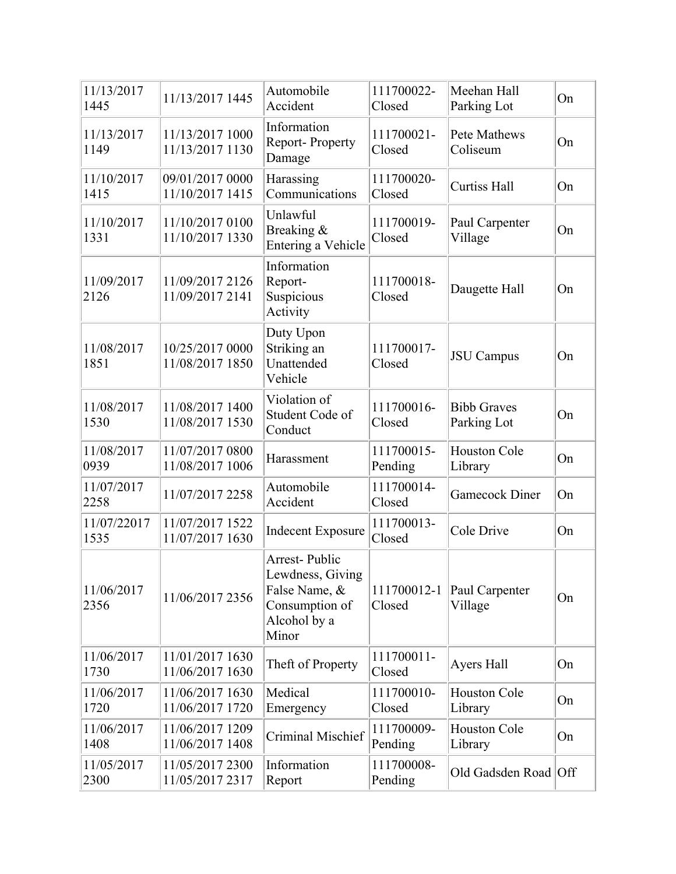| 11/13/2017<br>1445  | 11/13/2017 1445                    | Automobile<br>Accident                                                                               | 111700022-<br>Closed  | Meehan Hall<br>Parking Lot        | On |
|---------------------|------------------------------------|------------------------------------------------------------------------------------------------------|-----------------------|-----------------------------------|----|
| 11/13/2017<br>1149  | 11/13/2017 1000<br>11/13/2017 1130 | Information<br>Report-Property<br>Damage                                                             | 111700021-<br>Closed  | Pete Mathews<br>Coliseum          | On |
| 11/10/2017<br>1415  | 09/01/2017 0000<br>11/10/2017 1415 | Harassing<br>Communications                                                                          | 111700020-<br>Closed  | <b>Curtiss Hall</b>               | On |
| 11/10/2017<br>1331  | 11/10/2017 0100<br>11/10/2017 1330 | Unlawful<br>Breaking &<br>Entering a Vehicle                                                         | 111700019-<br>Closed  | Paul Carpenter<br>Village         | On |
| 11/09/2017<br>2126  | 11/09/2017 2126<br>11/09/2017 2141 | Information<br>Report-<br>Suspicious<br>Activity                                                     | 111700018-<br>Closed  | Daugette Hall                     | On |
| 11/08/2017<br>1851  | 10/25/2017 0000<br>11/08/2017 1850 | Duty Upon<br>Striking an<br>Unattended<br>Vehicle                                                    | 111700017-<br>Closed  | <b>JSU</b> Campus                 | On |
| 11/08/2017<br>1530  | 11/08/2017 1400<br>11/08/2017 1530 | Violation of<br>Student Code of<br>Conduct                                                           | 111700016-<br>Closed  | <b>Bibb Graves</b><br>Parking Lot | On |
| 11/08/2017<br>0939  | 11/07/2017 0800<br>11/08/2017 1006 | Harassment                                                                                           | 111700015-<br>Pending | Houston Cole<br>Library           | On |
| 11/07/2017<br>2258  | 11/07/2017 2258                    | Automobile<br>Accident                                                                               | 111700014-<br>Closed  | <b>Gamecock Diner</b>             | On |
| 11/07/22017<br>1535 | 11/07/2017 1522<br>11/07/2017 1630 | <b>Indecent Exposure</b>                                                                             | 111700013-<br>Closed  | Cole Drive                        | On |
| 11/06/2017<br>2356  | 11/06/2017 2356                    | <b>Arrest-Public</b><br>Lewdness, Giving<br>False Name, &<br>Consumption of<br>Alcohol by a<br>Minor | 111700012-1<br>Closed | Paul Carpenter<br>Village         | On |
| 11/06/2017<br>1730  | 11/01/2017 1630<br>11/06/2017 1630 | Theft of Property                                                                                    | 111700011-<br>Closed  | Ayers Hall                        | On |
| 11/06/2017<br>1720  | 11/06/2017 1630<br>11/06/2017 1720 | Medical<br>Emergency                                                                                 | 111700010-<br>Closed  | <b>Houston Cole</b><br>Library    | On |
| 11/06/2017<br>1408  | 11/06/2017 1209<br>11/06/2017 1408 | Criminal Mischief                                                                                    | 111700009-<br>Pending | Houston Cole<br>Library           | On |
| 11/05/2017<br>2300  | 11/05/2017 2300<br>11/05/2017 2317 | Information<br>Report                                                                                | 111700008-<br>Pending | Old Gadsden Road Off              |    |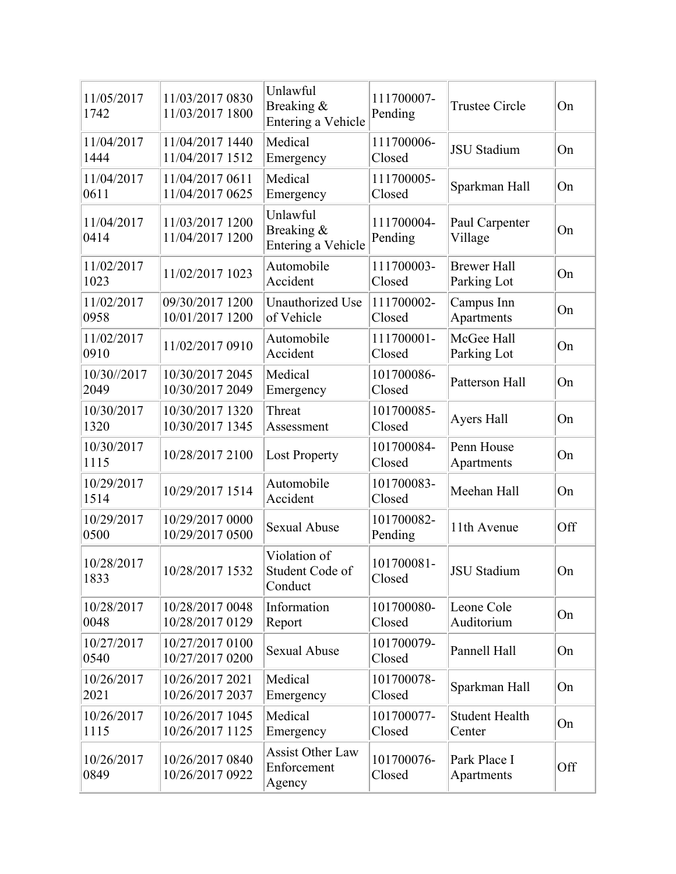| 11/05/2017<br>1742  | 11/03/2017 0830<br>11/03/2017 1800 | Unlawful<br>Breaking &<br>Entering a Vehicle     | 111700007-<br>Pending | <b>Trustee Circle</b>             | On  |
|---------------------|------------------------------------|--------------------------------------------------|-----------------------|-----------------------------------|-----|
| 11/04/2017<br>1444  | 11/04/2017 1440<br>11/04/2017 1512 | Medical<br>Emergency                             | 111700006-<br>Closed  | <b>JSU</b> Stadium                | On  |
| 11/04/2017<br>0611  | 11/04/2017 0611<br>11/04/2017 0625 | Medical<br>Emergency                             | 111700005-<br>Closed  | Sparkman Hall                     | On  |
| 11/04/2017<br>0414  | 11/03/2017 1200<br>11/04/2017 1200 | Unlawful<br>Breaking &<br>Entering a Vehicle     | 111700004-<br>Pending | Paul Carpenter<br>Village         | On  |
| 11/02/2017<br>1023  | 11/02/2017 1023                    | Automobile<br>Accident                           | 111700003-<br>Closed  | <b>Brewer Hall</b><br>Parking Lot | On  |
| 11/02/2017<br>0958  | 09/30/2017 1200<br>10/01/2017 1200 | Unauthorized Use<br>of Vehicle                   | 111700002-<br>Closed  | Campus Inn<br>Apartments          | On  |
| 11/02/2017<br>0910  | 11/02/2017 0910                    | Automobile<br>Accident                           | 111700001-<br>Closed  | McGee Hall<br>Parking Lot         | On  |
| 10/30//2017<br>2049 | 10/30/2017 2045<br>10/30/2017 2049 | Medical<br>Emergency                             | 101700086-<br>Closed  | Patterson Hall                    | On  |
| 10/30/2017<br>1320  | 10/30/2017 1320<br>10/30/2017 1345 | Threat<br>Assessment                             | 101700085-<br>Closed  | Ayers Hall                        | On  |
| 10/30/2017<br>1115  | 10/28/2017 2100                    | <b>Lost Property</b>                             | 101700084-<br>Closed  | Penn House<br>Apartments          | On  |
| 10/29/2017<br>1514  | 10/29/2017 1514                    | Automobile<br>Accident                           | 101700083-<br>Closed  | Meehan Hall                       | On  |
| 10/29/2017<br>0500  | 10/29/2017 0000<br>10/29/2017 0500 | <b>Sexual Abuse</b>                              | 101700082-<br>Pending | 11th Avenue                       | Off |
| 10/28/2017<br>1833  | 10/28/2017 1532                    | Violation of<br>Student Code of<br>Conduct       | 101700081-<br>Closed  | <b>JSU</b> Stadium                | On  |
| 10/28/2017<br>0048  | 10/28/2017 0048<br>10/28/2017 0129 | Information<br>Report                            | 101700080-<br>Closed  | Leone Cole<br>Auditorium          | On  |
| 10/27/2017<br>0540  | 10/27/2017 0100<br>10/27/2017 0200 | <b>Sexual Abuse</b>                              | 101700079-<br>Closed  | Pannell Hall                      | On  |
| 10/26/2017<br>2021  | 10/26/2017 2021<br>10/26/2017 2037 | Medical<br>Emergency                             | 101700078-<br>Closed  | Sparkman Hall                     | On  |
| 10/26/2017<br>1115  | 10/26/2017 1045<br>10/26/2017 1125 | Medical<br>Emergency                             | 101700077-<br>Closed  | <b>Student Health</b><br>Center   | On  |
| 10/26/2017<br>0849  | 10/26/2017 0840<br>10/26/2017 0922 | <b>Assist Other Law</b><br>Enforcement<br>Agency | 101700076-<br>Closed  | Park Place I<br>Apartments        | Off |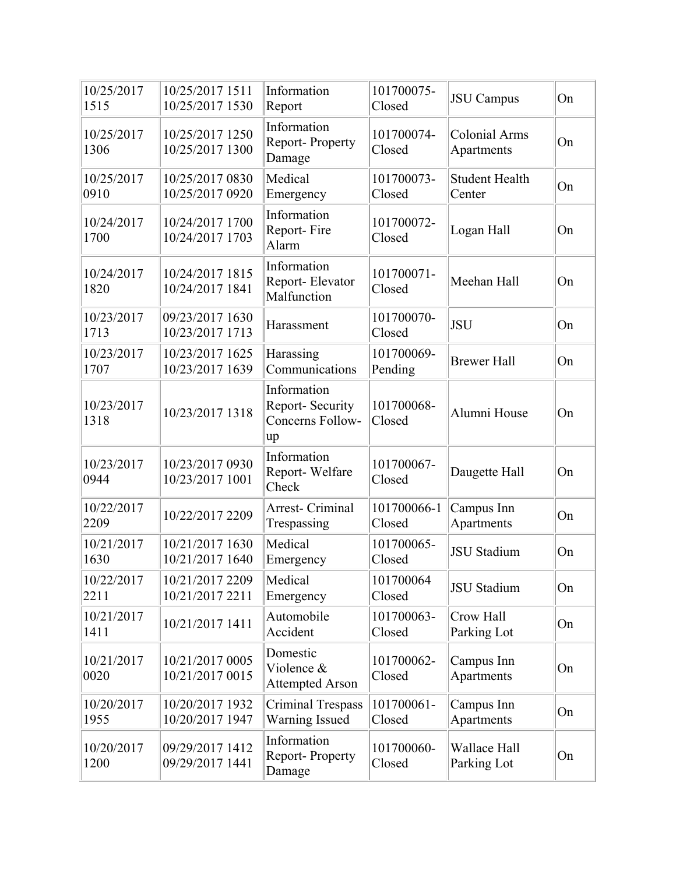| 10/25/2017<br>1515 | 10/25/2017 1511<br>10/25/2017 1530 | Information<br>Report                                     | 101700075-<br>Closed  | <b>JSU</b> Campus                  | On |
|--------------------|------------------------------------|-----------------------------------------------------------|-----------------------|------------------------------------|----|
| 10/25/2017<br>1306 | 10/25/2017 1250<br>10/25/2017 1300 | Information<br>Report-Property<br>Damage                  | 101700074-<br>Closed  | <b>Colonial Arms</b><br>Apartments | On |
| 10/25/2017<br>0910 | 10/25/2017 0830<br>10/25/2017 0920 | Medical<br>Emergency                                      | 101700073-<br>Closed  | <b>Student Health</b><br>Center    | On |
| 10/24/2017<br>1700 | 10/24/2017 1700<br>10/24/2017 1703 | Information<br>Report-Fire<br>Alarm                       | 101700072-<br>Closed  | Logan Hall                         | On |
| 10/24/2017<br>1820 | 10/24/2017 1815<br>10/24/2017 1841 | Information<br>Report-Elevator<br>Malfunction             | 101700071-<br>Closed  | Meehan Hall                        | On |
| 10/23/2017<br>1713 | 09/23/2017 1630<br>10/23/2017 1713 | Harassment                                                | 101700070-<br>Closed  | <b>JSU</b>                         | On |
| 10/23/2017<br>1707 | 10/23/2017 1625<br>10/23/2017 1639 | Harassing<br>Communications                               | 101700069-<br>Pending | <b>Brewer Hall</b>                 | On |
| 10/23/2017<br>1318 | 10/23/2017 1318                    | Information<br>Report- Security<br>Concerns Follow-<br>up | 101700068-<br>Closed  | Alumni House                       | On |
| 10/23/2017<br>0944 | 10/23/2017 0930<br>10/23/2017 1001 | Information<br>Report-Welfare<br>Check                    | 101700067-<br>Closed  | Daugette Hall                      | On |
| 10/22/2017<br>2209 | 10/22/2017 2209                    | Arrest- Criminal<br>Trespassing                           | 101700066-1<br>Closed | Campus Inn<br>Apartments           | On |
| 10/21/2017<br>1630 | 10/21/2017 1630<br>10/21/2017 1640 | Medical<br>Emergency                                      | 101700065-<br>Closed  | <b>JSU</b> Stadium                 | On |
| 10/22/2017<br>2211 | 10/21/2017 2209<br>10/21/2017 2211 | Medical<br>Emergency                                      | 101700064<br>Closed   | <b>JSU</b> Stadium                 | On |
| 10/21/2017<br>1411 | 10/21/2017 1411                    | Automobile<br>Accident                                    | 101700063-<br>Closed  | Crow Hall<br>Parking Lot           | On |
| 10/21/2017<br>0020 | 10/21/2017 0005<br>10/21/2017 0015 | Domestic<br>Violence &<br><b>Attempted Arson</b>          | 101700062-<br>Closed  | Campus Inn<br>Apartments           | On |
| 10/20/2017<br>1955 | 10/20/2017 1932<br>10/20/2017 1947 | <b>Criminal Trespass</b><br><b>Warning Issued</b>         | 101700061-<br>Closed  | Campus Inn<br>Apartments           | On |
| 10/20/2017<br>1200 | 09/29/2017 1412<br>09/29/2017 1441 | Information<br>Report-Property<br>Damage                  | 101700060-<br>Closed  | Wallace Hall<br>Parking Lot        | On |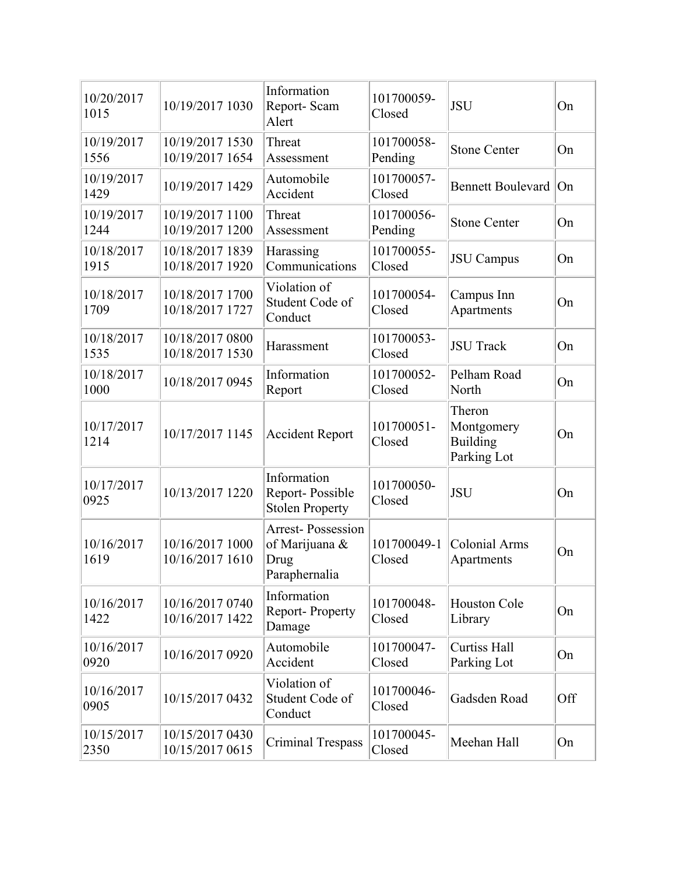| 10/20/2017<br>1015 | 10/19/2017 1030                    | Information<br>Report-Scam<br>Alert                                 | 101700059-<br>Closed  | <b>JSU</b>                                             | On  |
|--------------------|------------------------------------|---------------------------------------------------------------------|-----------------------|--------------------------------------------------------|-----|
| 10/19/2017<br>1556 | 10/19/2017 1530<br>10/19/2017 1654 | Threat<br>Assessment                                                | 101700058-<br>Pending | <b>Stone Center</b>                                    | On  |
| 10/19/2017<br>1429 | 10/19/2017 1429                    | Automobile<br>Accident                                              | 101700057-<br>Closed  | <b>Bennett Boulevard</b>                               | On  |
| 10/19/2017<br>1244 | 10/19/2017 1100<br>10/19/2017 1200 | Threat<br>Assessment                                                | 101700056-<br>Pending | <b>Stone Center</b>                                    | On  |
| 10/18/2017<br>1915 | 10/18/2017 1839<br>10/18/2017 1920 | Harassing<br>Communications                                         | 101700055-<br>Closed  | <b>JSU</b> Campus                                      | On  |
| 10/18/2017<br>1709 | 10/18/2017 1700<br>10/18/2017 1727 | Violation of<br>Student Code of<br>Conduct                          | 101700054-<br>Closed  | Campus Inn<br>Apartments                               | On  |
| 10/18/2017<br>1535 | 10/18/2017 0800<br>10/18/2017 1530 | Harassment                                                          | 101700053-<br>Closed  | <b>JSU</b> Track                                       | On  |
| 10/18/2017<br>1000 | 10/18/2017 0945                    | Information<br>Report                                               | 101700052-<br>Closed  | Pelham Road<br>North                                   | On  |
| 10/17/2017<br>1214 | 10/17/2017 1145                    | <b>Accident Report</b>                                              | 101700051-<br>Closed  | Theron<br>Montgomery<br><b>Building</b><br>Parking Lot | On  |
| 10/17/2017<br>0925 | 10/13/2017 1220                    | Information<br>Report-Possible<br><b>Stolen Property</b>            | 101700050-<br>Closed  | <b>JSU</b>                                             | On  |
| 10/16/2017<br>1619 | 10/16/2017 1000<br>10/16/2017 1610 | <b>Arrest-Possession</b><br>of Marijuana &<br>Drug<br>Paraphernalia | 101700049-1<br>Closed | <b>Colonial Arms</b><br>Apartments                     | On  |
| 10/16/2017<br>1422 | 10/16/2017 0740<br>10/16/2017 1422 | Information<br>Report-Property<br>Damage                            | 101700048-<br>Closed  | <b>Houston Cole</b><br>Library                         | On  |
| 10/16/2017<br>0920 | 10/16/2017 0920                    | Automobile<br>Accident                                              | 101700047-<br>Closed  | <b>Curtiss Hall</b><br>Parking Lot                     | On  |
| 10/16/2017<br>0905 | 10/15/2017 0432                    | Violation of<br>Student Code of<br>Conduct                          | 101700046-<br>Closed  | Gadsden Road                                           | Off |
| 10/15/2017<br>2350 | 10/15/2017 0430<br>10/15/2017 0615 | <b>Criminal Trespass</b>                                            | 101700045-<br>Closed  | Meehan Hall                                            | On  |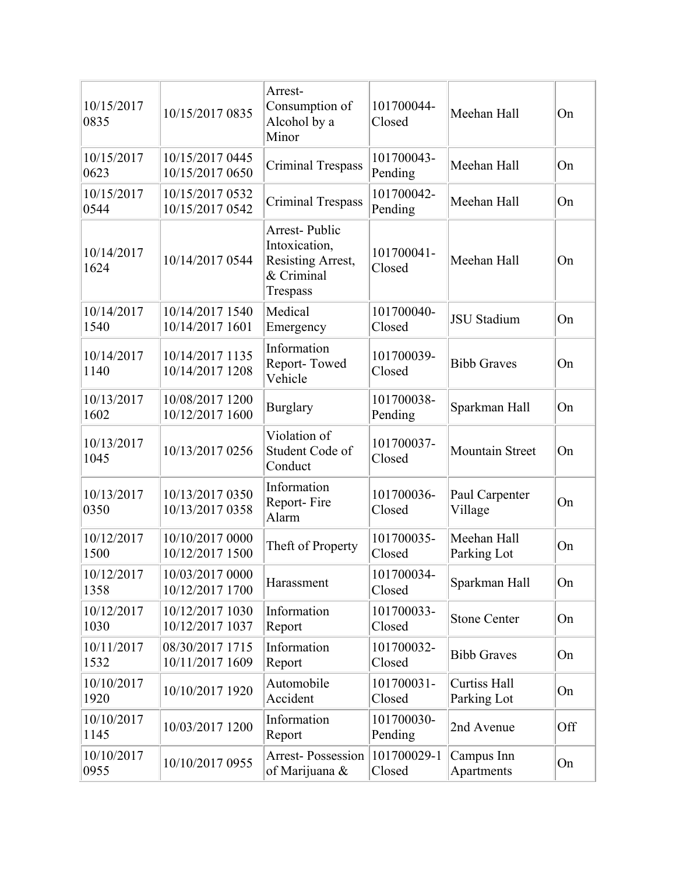| 10/15/2017<br>0835 | 10/15/2017 0835                    | Arrest-<br>Consumption of<br>Alcohol by a<br>Minor                            | 101700044-<br>Closed  | Meehan Hall                 | On  |
|--------------------|------------------------------------|-------------------------------------------------------------------------------|-----------------------|-----------------------------|-----|
| 10/15/2017<br>0623 | 10/15/2017 0445<br>10/15/2017 0650 | <b>Criminal Trespass</b>                                                      | 101700043-<br>Pending | Meehan Hall                 | On  |
| 10/15/2017<br>0544 | 10/15/2017 0532<br>10/15/2017 0542 | <b>Criminal Trespass</b>                                                      | 101700042-<br>Pending | Meehan Hall                 | On  |
| 10/14/2017<br>1624 | 10/14/2017 0544                    | Arrest-Public<br>Intoxication,<br>Resisting Arrest,<br>& Criminal<br>Trespass | 101700041-<br>Closed  | Meehan Hall                 | On  |
| 10/14/2017<br>1540 | 10/14/2017 1540<br>10/14/2017 1601 | Medical<br>Emergency                                                          | 101700040-<br>Closed  | <b>JSU</b> Stadium          | On  |
| 10/14/2017<br>1140 | 10/14/2017 1135<br>10/14/2017 1208 | Information<br>Report-Towed<br>Vehicle                                        | 101700039-<br>Closed  | <b>Bibb Graves</b>          | On  |
| 10/13/2017<br>1602 | 10/08/2017 1200<br>10/12/2017 1600 | <b>Burglary</b>                                                               | 101700038-<br>Pending | Sparkman Hall               | On  |
| 10/13/2017<br>1045 | 10/13/2017 0256                    | Violation of<br>Student Code of<br>Conduct                                    | 101700037-<br>Closed  | <b>Mountain Street</b>      | On  |
| 10/13/2017<br>0350 | 10/13/2017 0350<br>10/13/2017 0358 | Information<br>Report-Fire<br>Alarm                                           | 101700036-<br>Closed  | Paul Carpenter<br>Village   | On  |
| 10/12/2017<br>1500 | 10/10/2017 0000<br>10/12/2017 1500 | Theft of Property                                                             | 101700035-<br>Closed  | Meehan Hall<br>Parking Lot  | On  |
| 10/12/2017<br>1358 | 10/03/2017 0000<br>10/12/2017 1700 | Harassment                                                                    | 101700034-<br>Closed  | Sparkman Hall               | On  |
| 10/12/2017<br>1030 | 10/12/2017 1030<br>10/12/2017 1037 | Information<br>Report                                                         | 101700033-<br>Closed  | <b>Stone Center</b>         | On  |
| 10/11/2017<br>1532 | 08/30/2017 1715<br>10/11/2017 1609 | Information<br>Report                                                         | 101700032-<br>Closed  | <b>Bibb Graves</b>          | On  |
| 10/10/2017<br>1920 | 10/10/2017 1920                    | Automobile<br>Accident                                                        | 101700031-<br>Closed  | Curtiss Hall<br>Parking Lot | On  |
| 10/10/2017<br>1145 | 10/03/2017 1200                    | Information<br>Report                                                         | 101700030-<br>Pending | 2nd Avenue                  | Off |
| 10/10/2017<br>0955 | 10/10/2017 0955                    | <b>Arrest-Possession</b><br>of Marijuana &                                    | 101700029-1<br>Closed | Campus Inn<br>Apartments    | On  |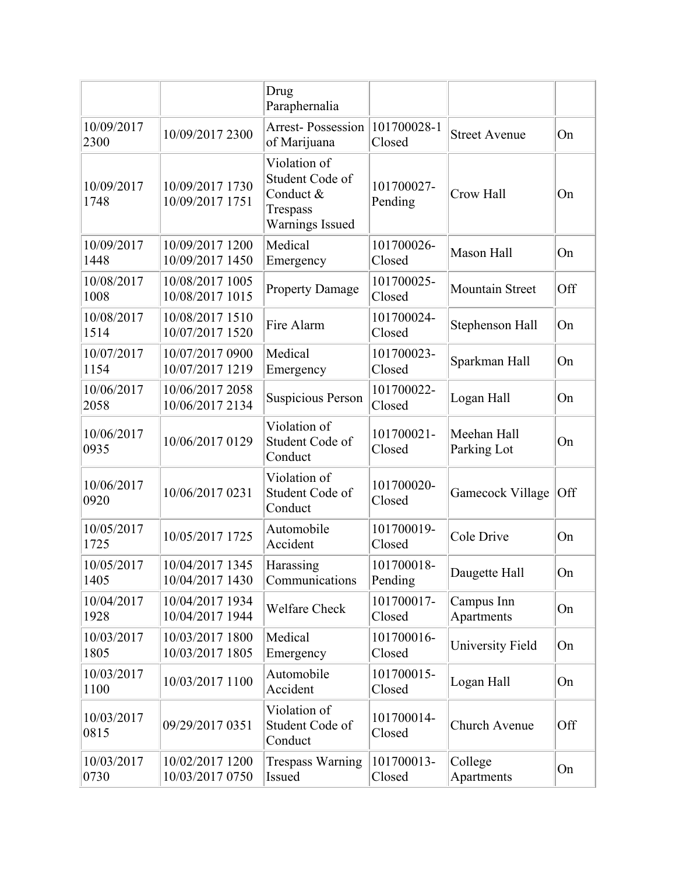|                    |                                    | Drug<br>Paraphernalia                                                       |                       |                            |     |
|--------------------|------------------------------------|-----------------------------------------------------------------------------|-----------------------|----------------------------|-----|
| 10/09/2017<br>2300 | 10/09/2017 2300                    | <b>Arrest-Possession</b><br>of Marijuana                                    | 101700028-1<br>Closed | <b>Street Avenue</b>       | On  |
| 10/09/2017<br>1748 | 10/09/2017 1730<br>10/09/2017 1751 | Violation of<br>Student Code of<br>Conduct &<br>Trespass<br>Warnings Issued | 101700027-<br>Pending | Crow Hall                  | On  |
| 10/09/2017<br>1448 | 10/09/2017 1200<br>10/09/2017 1450 | Medical<br>Emergency                                                        | 101700026-<br>Closed  | <b>Mason Hall</b>          | On  |
| 10/08/2017<br>1008 | 10/08/2017 1005<br>10/08/2017 1015 | <b>Property Damage</b>                                                      | 101700025-<br>Closed  | <b>Mountain Street</b>     | Off |
| 10/08/2017<br>1514 | 10/08/2017 1510<br>10/07/2017 1520 | Fire Alarm                                                                  | 101700024-<br>Closed  | Stephenson Hall            | On  |
| 10/07/2017<br>1154 | 10/07/2017 0900<br>10/07/2017 1219 | Medical<br>Emergency                                                        | 101700023-<br>Closed  | Sparkman Hall              | On  |
| 10/06/2017<br>2058 | 10/06/2017 2058<br>10/06/2017 2134 | <b>Suspicious Person</b>                                                    | 101700022-<br>Closed  | Logan Hall                 | On  |
| 10/06/2017<br>0935 | 10/06/2017 0129                    | Violation of<br>Student Code of<br>Conduct                                  | 101700021-<br>Closed  | Meehan Hall<br>Parking Lot | On  |
| 10/06/2017<br>0920 | 10/06/2017 0231                    | Violation of<br>Student Code of<br>Conduct                                  | 101700020-<br>Closed  | Gamecock Village           | Off |
| 10/05/2017<br>1725 | 10/05/2017 1725                    | Automobile<br>Accident                                                      | 101700019-<br>Closed  | Cole Drive                 | On  |
| 10/05/2017<br>1405 | 10/04/2017 1345<br>10/04/2017 1430 | Harassing<br>Communications                                                 | 101700018-<br>Pending | Daugette Hall              | On  |
| 10/04/2017<br>1928 | 10/04/2017 1934<br>10/04/2017 1944 | Welfare Check                                                               | 101700017-<br>Closed  | Campus Inn<br>Apartments   | On  |
| 10/03/2017<br>1805 | 10/03/2017 1800<br>10/03/2017 1805 | Medical<br>Emergency                                                        | 101700016-<br>Closed  | University Field           | On  |
| 10/03/2017<br>1100 | 10/03/2017 1100                    | Automobile<br>Accident                                                      | 101700015-<br>Closed  | Logan Hall                 | On  |
| 10/03/2017<br>0815 | 09/29/2017 0351                    | Violation of<br>Student Code of<br>Conduct                                  | 101700014-<br>Closed  | Church Avenue              | Off |
| 10/03/2017<br>0730 | 10/02/2017 1200<br>10/03/2017 0750 | <b>Trespass Warning</b><br>Issued                                           | 101700013-<br>Closed  | College<br>Apartments      | On  |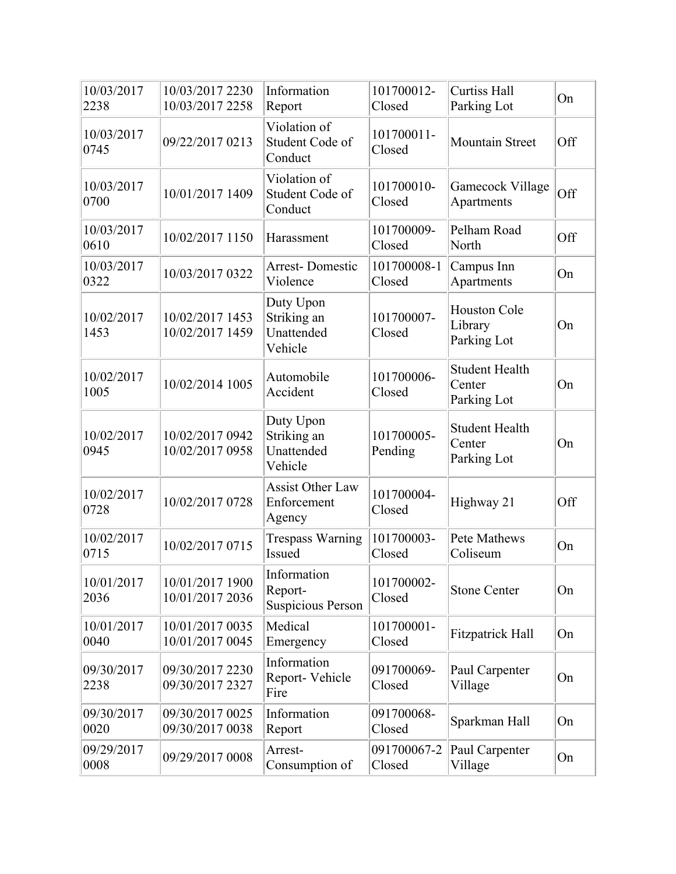| 10/03/2017<br>2238 | 10/03/2017 2230<br>10/03/2017 2258 | Information<br>Report                              | 101700012-<br>Closed  | <b>Curtiss Hall</b><br>Parking Lot             | On  |
|--------------------|------------------------------------|----------------------------------------------------|-----------------------|------------------------------------------------|-----|
| 10/03/2017<br>0745 | 09/22/2017 0213                    | Violation of<br>Student Code of<br>Conduct         | 101700011-<br>Closed  | <b>Mountain Street</b>                         | Off |
| 10/03/2017<br>0700 | 10/01/2017 1409                    | Violation of<br>Student Code of<br>Conduct         | 101700010-<br>Closed  | Gamecock Village<br>Apartments                 | Off |
| 10/03/2017<br>0610 | 10/02/2017 1150                    | Harassment                                         | 101700009-<br>Closed  | Pelham Road<br>North                           | Off |
| 10/03/2017<br>0322 | 10/03/2017 0322                    | <b>Arrest-Domestic</b><br>Violence                 | 101700008-1<br>Closed | Campus Inn<br>Apartments                       | On  |
| 10/02/2017<br>1453 | 10/02/2017 1453<br>10/02/2017 1459 | Duty Upon<br>Striking an<br>Unattended<br>Vehicle  | 101700007-<br>Closed  | <b>Houston Cole</b><br>Library<br>Parking Lot  | On  |
| 10/02/2017<br>1005 | 10/02/2014 1005                    | Automobile<br>Accident                             | 101700006-<br>Closed  | <b>Student Health</b><br>Center<br>Parking Lot | On  |
| 10/02/2017<br>0945 | 10/02/2017 0942<br>10/02/2017 0958 | Duty Upon<br>Striking an<br>Unattended<br>Vehicle  | 101700005-<br>Pending | <b>Student Health</b><br>Center<br>Parking Lot | On  |
| 10/02/2017<br>0728 | 10/02/2017 0728                    | <b>Assist Other Law</b><br>Enforcement<br>Agency   | 101700004-<br>Closed  | Highway 21                                     | Off |
| 10/02/2017<br>0715 | 10/02/2017 0715                    | <b>Trespass Warning</b><br>Issued                  | 101700003-<br>Closed  | <b>Pete Mathews</b><br>Coliseum                | On  |
| 10/01/2017<br>2036 | 10/01/2017 1900<br>10/01/2017 2036 | Information<br>Report-<br><b>Suspicious Person</b> | 101700002-<br>Closed  | <b>Stone Center</b>                            | On  |
| 10/01/2017<br>0040 | 10/01/2017 0035<br>10/01/2017 0045 | Medical<br>Emergency                               | 101700001-<br>Closed  | <b>Fitzpatrick Hall</b>                        | On  |
| 09/30/2017<br>2238 | 09/30/2017 2230<br>09/30/2017 2327 | Information<br>Report-Vehicle<br>Fire              | 091700069-<br>Closed  | Paul Carpenter<br>Village                      | On  |
| 09/30/2017<br>0020 | 09/30/2017 0025<br>09/30/2017 0038 | Information<br>Report                              | 091700068-<br>Closed  | Sparkman Hall                                  | On  |
| 09/29/2017<br>0008 | 09/29/2017 0008                    | Arrest-<br>Consumption of                          | 091700067-2<br>Closed | Paul Carpenter<br>Village                      | On  |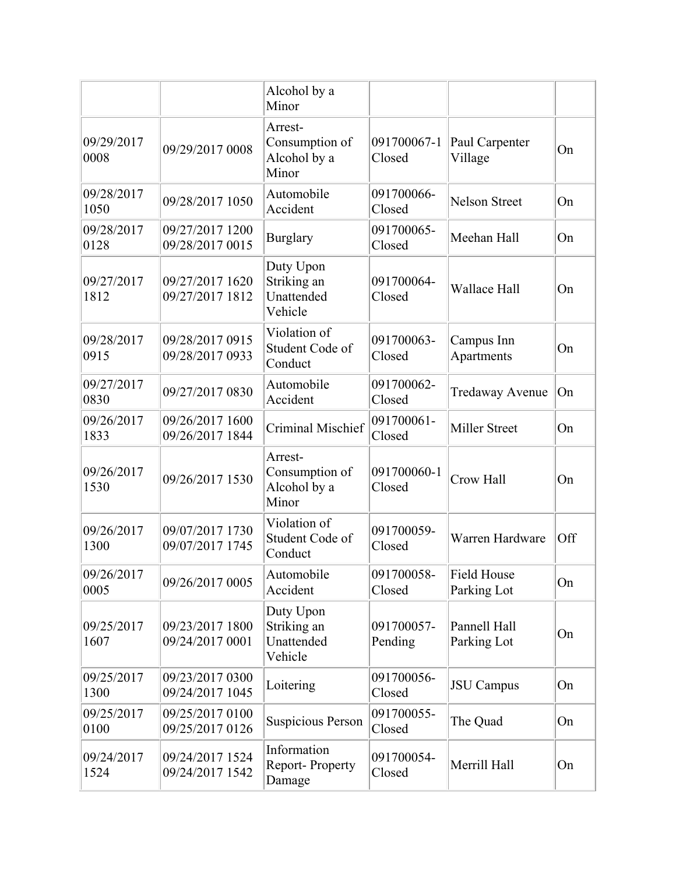|                    |                                    | Alcohol by a<br>Minor                              |                       |                             |     |
|--------------------|------------------------------------|----------------------------------------------------|-----------------------|-----------------------------|-----|
| 09/29/2017<br>0008 | 09/29/2017 0008                    | Arrest-<br>Consumption of<br>Alcohol by a<br>Minor | 091700067-1<br>Closed | Paul Carpenter<br>Village   | On  |
| 09/28/2017<br>1050 | 09/28/2017 1050                    | Automobile<br>Accident                             | 091700066-<br>Closed  | <b>Nelson Street</b>        | On  |
| 09/28/2017<br>0128 | 09/27/2017 1200<br>09/28/2017 0015 | <b>Burglary</b>                                    | 091700065-<br>Closed  | Meehan Hall                 | On  |
| 09/27/2017<br>1812 | 09/27/2017 1620<br>09/27/2017 1812 | Duty Upon<br>Striking an<br>Unattended<br>Vehicle  | 091700064-<br>Closed  | Wallace Hall                | On  |
| 09/28/2017<br>0915 | 09/28/2017 0915<br>09/28/2017 0933 | Violation of<br>Student Code of<br>Conduct         | 091700063-<br>Closed  | Campus Inn<br>Apartments    | On  |
| 09/27/2017<br>0830 | 09/27/2017 0830                    | Automobile<br>Accident                             | 091700062-<br>Closed  | <b>Tredaway Avenue</b>      | On  |
| 09/26/2017<br>1833 | 09/26/2017 1600<br>09/26/2017 1844 | Criminal Mischief                                  | 091700061-<br>Closed  | <b>Miller Street</b>        | On  |
| 09/26/2017<br>1530 | 09/26/2017 1530                    | Arrest-<br>Consumption of<br>Alcohol by a<br>Minor | 091700060-1<br>Closed | Crow Hall                   | On  |
| 09/26/2017<br>1300 | 09/07/2017 1730<br>09/07/2017 1745 | Violation of<br>Student Code of<br>Conduct         | 091700059-<br>Closed  | Warren Hardware             | Off |
| 09/26/2017<br>0005 | 09/26/2017 0005                    | Automobile<br>Accident                             | 091700058-<br>Closed  | Field House<br>Parking Lot  | On  |
| 09/25/2017<br>1607 | 09/23/2017 1800<br>09/24/2017 0001 | Duty Upon<br>Striking an<br>Unattended<br>Vehicle  | 091700057-<br>Pending | Pannell Hall<br>Parking Lot | On  |
| 09/25/2017<br>1300 | 09/23/2017 0300<br>09/24/2017 1045 | Loitering                                          | 091700056-<br>Closed  | <b>JSU</b> Campus           | On  |
| 09/25/2017<br>0100 | 09/25/2017 0100<br>09/25/2017 0126 | <b>Suspicious Person</b>                           | 091700055-<br>Closed  | The Quad                    | On  |
| 09/24/2017<br>1524 | 09/24/2017 1524<br>09/24/2017 1542 | Information<br>Report-Property<br>Damage           | 091700054-<br>Closed  | Merrill Hall                | On  |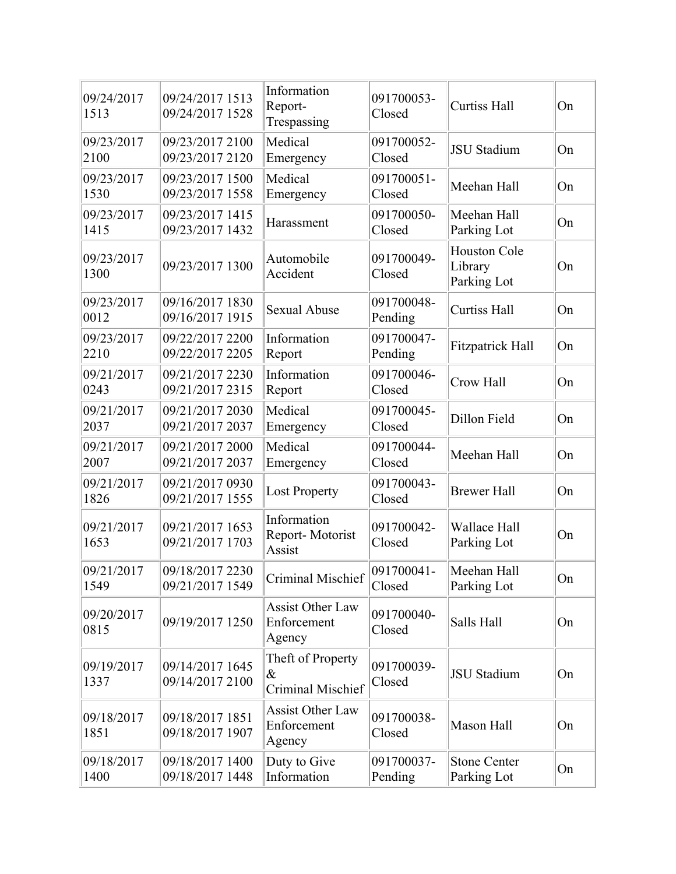| 09/24/2017<br>1513 | 09/24/2017 1513<br>09/24/2017 1528 | Information<br>Report-<br>Trespassing            | 091700053-<br>Closed  | <b>Curtiss Hall</b>                           | On |
|--------------------|------------------------------------|--------------------------------------------------|-----------------------|-----------------------------------------------|----|
| 09/23/2017<br>2100 | 09/23/2017 2100<br>09/23/2017 2120 | Medical<br>Emergency                             | 091700052-<br>Closed  | <b>JSU</b> Stadium                            | On |
| 09/23/2017<br>1530 | 09/23/2017 1500<br>09/23/2017 1558 | Medical<br>Emergency                             | 091700051-<br>Closed  | Meehan Hall                                   | On |
| 09/23/2017<br>1415 | 09/23/2017 1415<br>09/23/2017 1432 | Harassment                                       | 091700050-<br>Closed  | Meehan Hall<br>Parking Lot                    | On |
| 09/23/2017<br>1300 | 09/23/2017 1300                    | Automobile<br>Accident                           | 091700049-<br>Closed  | <b>Houston Cole</b><br>Library<br>Parking Lot | On |
| 09/23/2017<br>0012 | 09/16/2017 1830<br>09/16/2017 1915 | <b>Sexual Abuse</b>                              | 091700048-<br>Pending | <b>Curtiss Hall</b>                           | On |
| 09/23/2017<br>2210 | 09/22/2017 2200<br>09/22/2017 2205 | Information<br>Report                            | 091700047-<br>Pending | <b>Fitzpatrick Hall</b>                       | On |
| 09/21/2017<br>0243 | 09/21/2017 2230<br>09/21/2017 2315 | Information<br>Report                            | 091700046-<br>Closed  | Crow Hall                                     | On |
| 09/21/2017<br>2037 | 09/21/2017 2030<br>09/21/2017 2037 | Medical<br>Emergency                             | 091700045-<br>Closed  | Dillon Field                                  | On |
| 09/21/2017<br>2007 | 09/21/2017 2000<br>09/21/2017 2037 | Medical<br>Emergency                             | 091700044-<br>Closed  | Meehan Hall                                   | On |
| 09/21/2017<br>1826 | 09/21/2017 0930<br>09/21/2017 1555 | <b>Lost Property</b>                             | 091700043-<br>Closed  | <b>Brewer Hall</b>                            | On |
| 09/21/2017<br>1653 | 09/21/2017 1653<br>09/21/2017 1703 | Information<br>Report-Motorist<br>Assist         | 091700042-<br>Closed  | Wallace Hall<br>Parking Lot                   | On |
| 09/21/2017<br>1549 | 09/18/2017 2230<br>09/21/2017 1549 | Criminal Mischief                                | 091700041-<br>Closed  | Meehan Hall<br>Parking Lot                    | On |
| 09/20/2017<br>0815 | 09/19/2017 1250                    | <b>Assist Other Law</b><br>Enforcement<br>Agency | 091700040-<br>Closed  | Salls Hall                                    | On |
| 09/19/2017<br>1337 | 09/14/2017 1645<br>09/14/2017 2100 | Theft of Property<br>$\&$<br>Criminal Mischief   | 091700039-<br>Closed  | <b>JSU</b> Stadium                            | On |
| 09/18/2017<br>1851 | 09/18/2017 1851<br>09/18/2017 1907 | <b>Assist Other Law</b><br>Enforcement<br>Agency | 091700038-<br>Closed  | Mason Hall                                    | On |
| 09/18/2017<br>1400 | 09/18/2017 1400<br>09/18/2017 1448 | Duty to Give<br>Information                      | 091700037-<br>Pending | <b>Stone Center</b><br>Parking Lot            | On |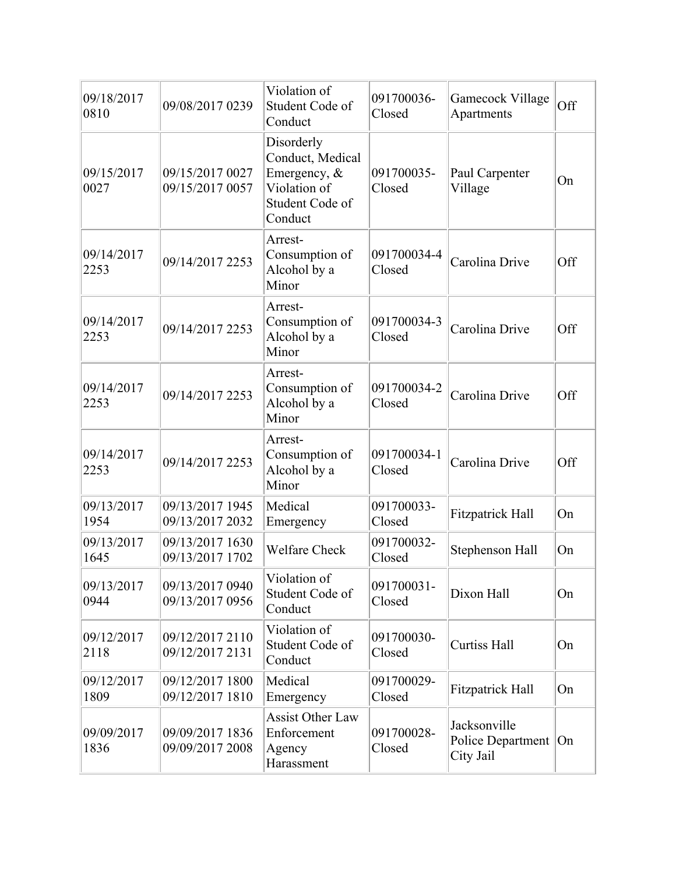| 09/18/2017<br>0810 | 09/08/2017 0239                    | Violation of<br>Student Code of<br>Conduct                                                   | 091700036-<br>Closed  | Gamecock Village<br>Apartments                      | Off |
|--------------------|------------------------------------|----------------------------------------------------------------------------------------------|-----------------------|-----------------------------------------------------|-----|
| 09/15/2017<br>0027 | 09/15/2017 0027<br>09/15/2017 0057 | Disorderly<br>Conduct, Medical<br>Emergency, &<br>Violation of<br>Student Code of<br>Conduct | 091700035-<br>Closed  | Paul Carpenter<br>Village                           | On  |
| 09/14/2017<br>2253 | 09/14/2017 2253                    | Arrest-<br>Consumption of<br>Alcohol by a<br>Minor                                           | 091700034-4<br>Closed | Carolina Drive                                      | Off |
| 09/14/2017<br>2253 | 09/14/2017 2253                    | Arrest-<br>Consumption of<br>Alcohol by a<br>Minor                                           | 091700034-3<br>Closed | Carolina Drive                                      | Off |
| 09/14/2017<br>2253 | 09/14/2017 2253                    | Arrest-<br>Consumption of<br>Alcohol by a<br>Minor                                           | 091700034-2<br>Closed | Carolina Drive                                      | Off |
| 09/14/2017<br>2253 | 09/14/2017 2253                    | Arrest-<br>Consumption of<br>Alcohol by a<br>Minor                                           | 091700034-1<br>Closed | Carolina Drive                                      | Off |
| 09/13/2017<br>1954 | 09/13/2017 1945<br>09/13/2017 2032 | Medical<br>Emergency                                                                         | 091700033-<br>Closed  | <b>Fitzpatrick Hall</b>                             | On  |
| 09/13/2017<br>1645 | 09/13/2017 1630<br>09/13/2017 1702 | <b>Welfare Check</b>                                                                         | 091700032-<br>Closed  | Stephenson Hall                                     | On  |
| 09/13/2017<br>0944 | 09/13/2017 0940<br>09/13/2017 0956 | Violation of<br>Student Code of<br>Conduct                                                   | 091700031-<br>Closed  | Dixon Hall                                          | On  |
| 09/12/2017<br>2118 | 09/12/2017 2110<br>09/12/2017 2131 | Violation of<br>Student Code of<br>Conduct                                                   | 091700030-<br>Closed  | <b>Curtiss Hall</b>                                 | On  |
| 09/12/2017<br>1809 | 09/12/2017 1800<br>09/12/2017 1810 | Medical<br>Emergency                                                                         | 091700029-<br>Closed  | <b>Fitzpatrick Hall</b>                             | On  |
| 09/09/2017<br>1836 | 09/09/2017 1836<br>09/09/2017 2008 | <b>Assist Other Law</b><br>Enforcement<br>Agency<br>Harassment                               | 091700028-<br>Closed  | Jacksonville<br>Police Department   On<br>City Jail |     |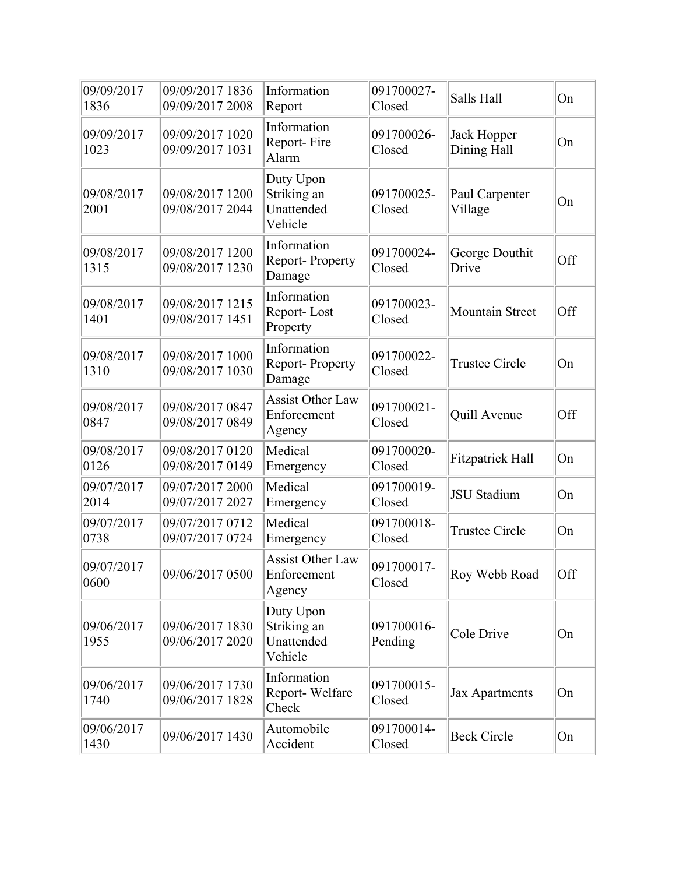| 09/09/2017<br>1836 | 09/09/2017 1836<br>09/09/2017 2008 | Information<br>Report                             | 091700027-<br>Closed  | Salls Hall                 | On  |
|--------------------|------------------------------------|---------------------------------------------------|-----------------------|----------------------------|-----|
| 09/09/2017<br>1023 | 09/09/2017 1020<br>09/09/2017 1031 | Information<br>Report-Fire<br>Alarm               | 091700026-<br>Closed  | Jack Hopper<br>Dining Hall | On  |
| 09/08/2017<br>2001 | 09/08/2017 1200<br>09/08/2017 2044 | Duty Upon<br>Striking an<br>Unattended<br>Vehicle | 091700025-<br>Closed  | Paul Carpenter<br>Village  | On  |
| 09/08/2017<br>1315 | 09/08/2017 1200<br>09/08/2017 1230 | Information<br><b>Report-Property</b><br>Damage   | 091700024-<br>Closed  | George Douthit<br>Drive    | Off |
| 09/08/2017<br>1401 | 09/08/2017 1215<br>09/08/2017 1451 | Information<br>Report-Lost<br>Property            | 091700023-<br>Closed  | <b>Mountain Street</b>     | Off |
| 09/08/2017<br>1310 | 09/08/2017 1000<br>09/08/2017 1030 | Information<br>Report-Property<br>Damage          | 091700022-<br>Closed  | <b>Trustee Circle</b>      | On  |
| 09/08/2017<br>0847 | 09/08/2017 0847<br>09/08/2017 0849 | <b>Assist Other Law</b><br>Enforcement<br>Agency  | 091700021-<br>Closed  | Quill Avenue               | Off |
| 09/08/2017<br>0126 | 09/08/2017 0120<br>09/08/2017 0149 | Medical<br>Emergency                              | 091700020-<br>Closed  | <b>Fitzpatrick Hall</b>    | On  |
| 09/07/2017<br>2014 | 09/07/2017 2000<br>09/07/2017 2027 | Medical<br>Emergency                              | 091700019-<br>Closed  | <b>JSU</b> Stadium         | On  |
| 09/07/2017<br>0738 | 09/07/2017 0712<br>09/07/2017 0724 | Medical<br>Emergency                              | 091700018-<br>Closed  | <b>Trustee Circle</b>      | On  |
| 09/07/2017<br>0600 | 09/06/2017 0500                    | <b>Assist Other Law</b><br>Enforcement<br>Agency  | 091700017-<br>Closed  | Roy Webb Road              | Off |
| 09/06/2017<br>1955 | 09/06/2017 1830<br>09/06/2017 2020 | Duty Upon<br>Striking an<br>Unattended<br>Vehicle | 091700016-<br>Pending | Cole Drive                 | On  |
| 09/06/2017<br>1740 | 09/06/2017 1730<br>09/06/2017 1828 | Information<br>Report-Welfare<br>Check            | 091700015-<br>Closed  | Jax Apartments             | On  |
| 09/06/2017<br>1430 | 09/06/2017 1430                    | Automobile<br>Accident                            | 091700014-<br>Closed  | <b>Beck Circle</b>         | On  |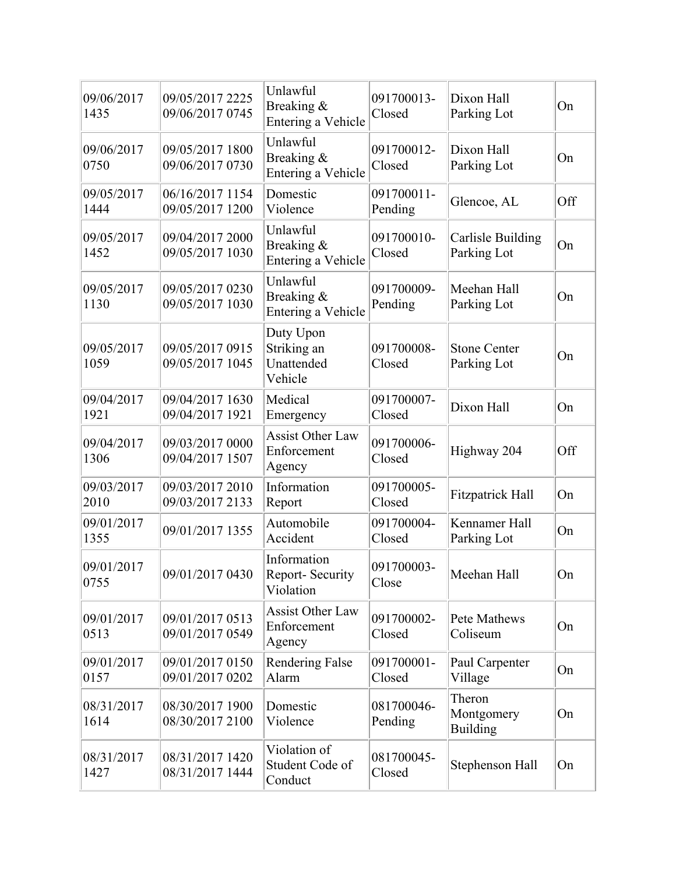| 09/06/2017<br>1435 | 09/05/2017 2225<br>09/06/2017 0745 | Unlawful<br>Breaking &<br>Entering a Vehicle      | 091700013-<br>Closed  | Dixon Hall<br>Parking Lot          | On  |
|--------------------|------------------------------------|---------------------------------------------------|-----------------------|------------------------------------|-----|
| 09/06/2017<br>0750 | 09/05/2017 1800<br>09/06/2017 0730 | Unlawful<br>Breaking &<br>Entering a Vehicle      | 091700012-<br>Closed  | Dixon Hall<br>Parking Lot          | On  |
| 09/05/2017<br>1444 | 06/16/2017 1154<br>09/05/2017 1200 | Domestic<br>Violence                              | 091700011-<br>Pending | Glencoe, AL                        | Off |
| 09/05/2017<br>1452 | 09/04/2017 2000<br>09/05/2017 1030 | Unlawful<br>Breaking &<br>Entering a Vehicle      | 091700010-<br>Closed  | Carlisle Building<br>Parking Lot   | On  |
| 09/05/2017<br>1130 | 09/05/2017 0230<br>09/05/2017 1030 | Unlawful<br>Breaking &<br>Entering a Vehicle      | 091700009-<br>Pending | Meehan Hall<br>Parking Lot         | On  |
| 09/05/2017<br>1059 | 09/05/2017 0915<br>09/05/2017 1045 | Duty Upon<br>Striking an<br>Unattended<br>Vehicle | 091700008-<br>Closed  | <b>Stone Center</b><br>Parking Lot | On  |
| 09/04/2017<br>1921 | 09/04/2017 1630<br>09/04/2017 1921 | Medical<br>Emergency                              | 091700007-<br>Closed  | Dixon Hall                         | On  |
| 09/04/2017<br>1306 | 09/03/2017 0000<br>09/04/2017 1507 | <b>Assist Other Law</b><br>Enforcement<br>Agency  | 091700006-<br>Closed  | Highway 204                        | Off |
| 09/03/2017<br>2010 | 09/03/2017 2010<br>09/03/2017 2133 | Information<br>Report                             | 091700005-<br>Closed  | <b>Fitzpatrick Hall</b>            | On  |
| 09/01/2017<br>1355 | 09/01/2017 1355                    | Automobile<br>Accident                            | 091700004-<br>Closed  | Kennamer Hall<br>Parking Lot       | On  |
| 09/01/2017<br>0755 | 09/01/2017 0430                    | Information<br>Report-Security<br>Violation       | 091700003-<br>Close   | Meehan Hall                        | On  |
| 09/01/2017<br>0513 | 09/01/2017 0513<br>09/01/2017 0549 | <b>Assist Other Law</b><br>Enforcement<br>Agency  | 091700002-<br>Closed  | Pete Mathews<br>Coliseum           | On  |
| 09/01/2017<br>0157 | 09/01/2017 0150<br>09/01/2017 0202 | <b>Rendering False</b><br>Alarm                   | 091700001-<br>Closed  | Paul Carpenter<br>Village          | On  |
| 08/31/2017<br>1614 | 08/30/2017 1900<br>08/30/2017 2100 | Domestic<br>Violence                              | 081700046-<br>Pending | Theron<br>Montgomery<br>Building   | On  |
| 08/31/2017<br>1427 | 08/31/2017 1420<br>08/31/2017 1444 | Violation of<br>Student Code of<br>Conduct        | 081700045-<br>Closed  | Stephenson Hall                    | On  |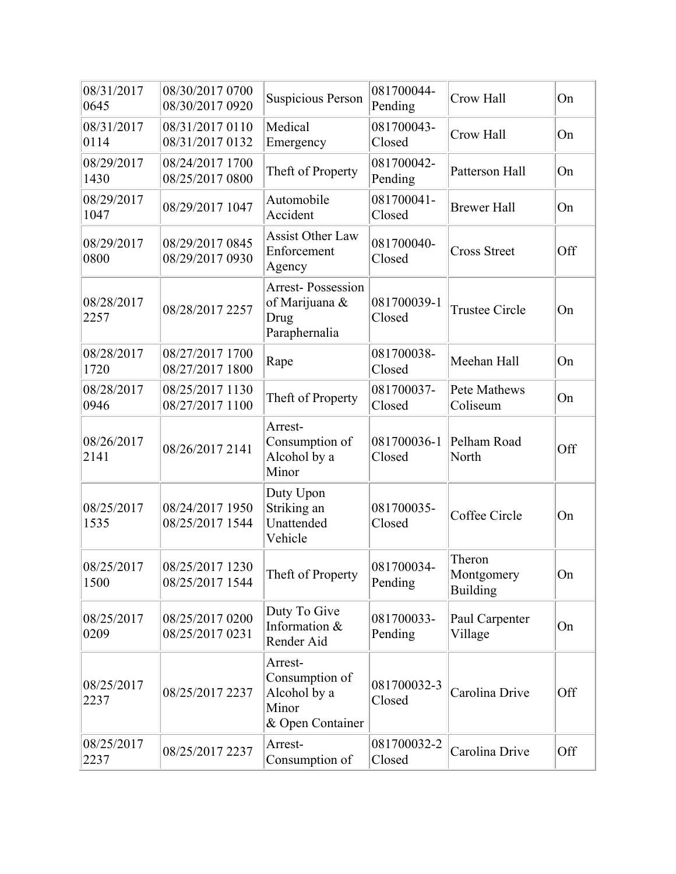| 08/31/2017<br>0645 | 08/30/2017 0700<br>08/30/2017 0920 | <b>Suspicious Person</b>                                               | 081700044-<br>Pending | Crow Hall                        | On  |
|--------------------|------------------------------------|------------------------------------------------------------------------|-----------------------|----------------------------------|-----|
| 08/31/2017<br>0114 | 08/31/2017 0110<br>08/31/2017 0132 | Medical<br>Emergency                                                   | 081700043-<br>Closed  | Crow Hall                        | On  |
| 08/29/2017<br>1430 | 08/24/2017 1700<br>08/25/2017 0800 | Theft of Property                                                      | 081700042-<br>Pending | Patterson Hall                   | On  |
| 08/29/2017<br>1047 | 08/29/2017 1047                    | Automobile<br>Accident                                                 | 081700041-<br>Closed  | <b>Brewer Hall</b>               | On  |
| 08/29/2017<br>0800 | 08/29/2017 0845<br>08/29/2017 0930 | <b>Assist Other Law</b><br>Enforcement<br>Agency                       | 081700040-<br>Closed  | <b>Cross Street</b>              | Off |
| 08/28/2017<br>2257 | 08/28/2017 2257                    | <b>Arrest-Possession</b><br>of Marijuana &<br>Drug<br>Paraphernalia    | 081700039-1<br>Closed | <b>Trustee Circle</b>            | On  |
| 08/28/2017<br>1720 | 08/27/2017 1700<br>08/27/2017 1800 | Rape                                                                   | 081700038-<br>Closed  | Meehan Hall                      | On  |
| 08/28/2017<br>0946 | 08/25/2017 1130<br>08/27/2017 1100 | Theft of Property                                                      | 081700037-<br>Closed  | Pete Mathews<br>Coliseum         | On  |
| 08/26/2017<br>2141 | 08/26/2017 2141                    | Arrest-<br>Consumption of<br>Alcohol by a<br>Minor                     | 081700036-1<br>Closed | Pelham Road<br>North             | Off |
| 08/25/2017<br>1535 | 08/24/2017 1950<br>08/25/2017 1544 | Duty Upon<br>Striking an<br>Unattended<br>Vehicle                      | 081700035-<br>Closed  | Coffee Circle                    | On  |
| 08/25/2017<br>1500 | 08/25/2017 1230<br>08/25/2017 1544 | Theft of Property                                                      | 081700034-<br>Pending | Theron<br>Montgomery<br>Building | On  |
| 08/25/2017<br>0209 | 08/25/2017 0200<br>08/25/2017 0231 | Duty To Give<br>Information &<br>Render Aid                            | 081700033-<br>Pending | Paul Carpenter<br>Village        | On  |
| 08/25/2017<br>2237 | 08/25/2017 2237                    | Arrest-<br>Consumption of<br>Alcohol by a<br>Minor<br>& Open Container | 081700032-3<br>Closed | Carolina Drive                   | Off |
| 08/25/2017<br>2237 | 08/25/2017 2237                    | Arrest-<br>Consumption of                                              | 081700032-2<br>Closed | Carolina Drive                   | Off |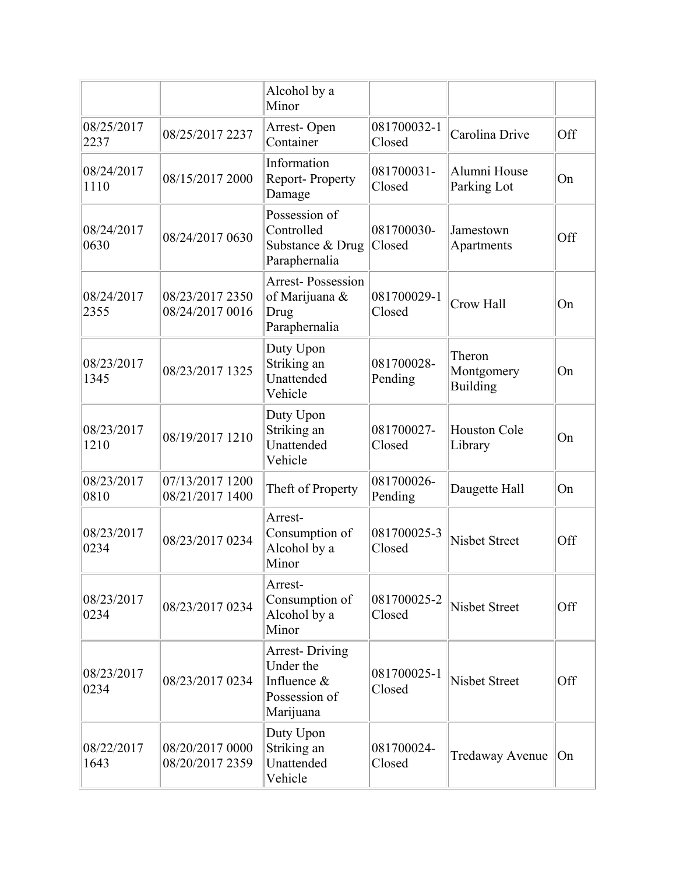|                    |                                    | Alcohol by a<br>Minor                                                           |                       |                                  |     |
|--------------------|------------------------------------|---------------------------------------------------------------------------------|-----------------------|----------------------------------|-----|
| 08/25/2017<br>2237 | 08/25/2017 2237                    | Arrest-Open<br>Container                                                        | 081700032-1<br>Closed | Carolina Drive                   | Off |
| 08/24/2017<br>1110 | 08/15/2017 2000                    | Information<br>Report-Property<br>Damage                                        | 081700031-<br>Closed  | Alumni House<br>Parking Lot      | On  |
| 08/24/2017<br>0630 | 08/24/2017 0630                    | Possession of<br>Controlled<br>Substance & Drug<br>Paraphernalia                | 081700030-<br>Closed  | Jamestown<br>Apartments          | Off |
| 08/24/2017<br>2355 | 08/23/2017 2350<br>08/24/2017 0016 | <b>Arrest-Possession</b><br>of Marijuana &<br>Drug<br>Paraphernalia             | 081700029-1<br>Closed | Crow Hall                        | On  |
| 08/23/2017<br>1345 | 08/23/2017 1325                    | Duty Upon<br>Striking an<br>Unattended<br>Vehicle                               | 081700028-<br>Pending | Theron<br>Montgomery<br>Building | On  |
| 08/23/2017<br>1210 | 08/19/2017 1210                    | Duty Upon<br>Striking an<br>Unattended<br>Vehicle                               | 081700027-<br>Closed  | <b>Houston Cole</b><br>Library   | On  |
| 08/23/2017<br>0810 | 07/13/2017 1200<br>08/21/2017 1400 | Theft of Property                                                               | 081700026-<br>Pending | Daugette Hall                    | On  |
| 08/23/2017<br>0234 | 08/23/2017 0234                    | Arrest-<br>Consumption of<br>Alcohol by a<br>Minor                              | 081700025-3<br>Closed | <b>Nisbet Street</b>             | Off |
| 08/23/2017<br>0234 | 08/23/2017 0234                    | Arrest-<br>Consumption of<br>Alcohol by a<br>Minor                              | 081700025-2<br>Closed | <b>Nisbet Street</b>             | Off |
| 08/23/2017<br>0234 | 08/23/2017 0234                    | <b>Arrest-Driving</b><br>Under the<br>Influence &<br>Possession of<br>Marijuana | 081700025-1<br>Closed | <b>Nisbet Street</b>             | Off |
| 08/22/2017<br>1643 | 08/20/2017 0000<br>08/20/2017 2359 | Duty Upon<br>Striking an<br>Unattended<br>Vehicle                               | 081700024-<br>Closed  | Tredaway Avenue                  | On  |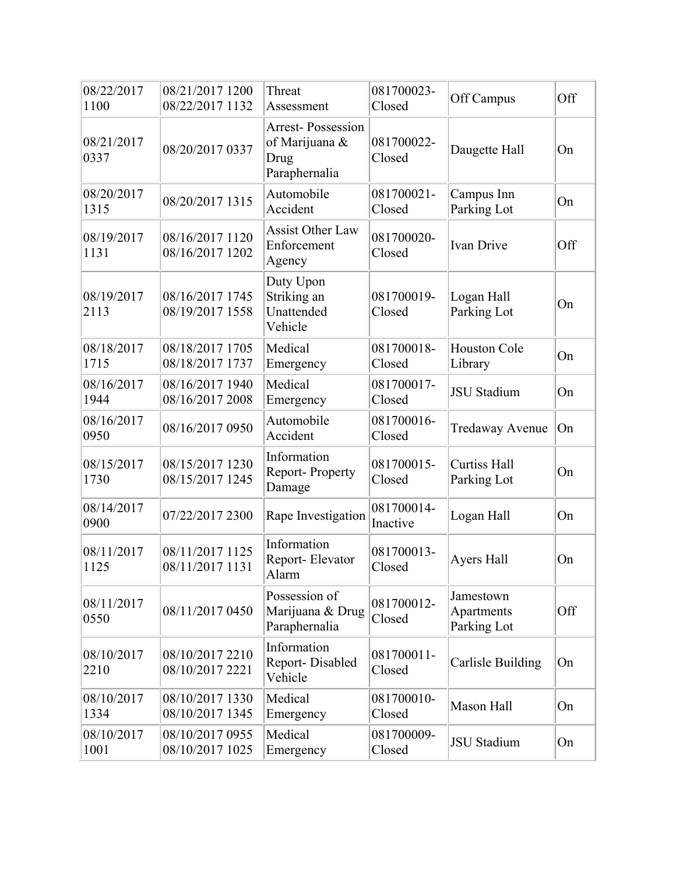| 08/22/2017<br>1100 | 08/21/2017 1200<br>08/22/2017 1132 | Threat<br>Assessment                                                | 081700023-<br>Closed   | Off Campus                             | Off |
|--------------------|------------------------------------|---------------------------------------------------------------------|------------------------|----------------------------------------|-----|
| 08/21/2017<br>0337 | 08/20/2017 0337                    | <b>Arrest-Possession</b><br>of Marijuana &<br>Drug<br>Paraphernalia | 081700022-<br>Closed   | Daugette Hall                          | On  |
| 08/20/2017<br>1315 | 08/20/2017 1315                    | Automobile<br>Accident                                              | 081700021-<br>Closed   | Campus Inn<br>Parking Lot              | On  |
| 08/19/2017<br>1131 | 08/16/2017 1120<br>08/16/2017 1202 | <b>Assist Other Law</b><br>Enforcement<br>Agency                    | 081700020-<br>Closed   | <b>Ivan Drive</b>                      | Off |
| 08/19/2017<br>2113 | 08/16/2017 1745<br>08/19/2017 1558 | Duty Upon<br>Striking an<br>Unattended<br>Vehicle                   | 081700019-<br>Closed   | Logan Hall<br>Parking Lot              | On  |
| 08/18/2017<br>1715 | 08/18/2017 1705<br>08/18/2017 1737 | Medical<br>Emergency                                                | 081700018-<br>Closed   | <b>Houston Cole</b><br>Library         | On  |
| 08/16/2017<br>1944 | 08/16/2017 1940<br>08/16/2017 2008 | Medical<br>Emergency                                                | 081700017-<br>Closed   | <b>JSU Stadium</b>                     | On  |
| 08/16/2017<br>0950 | 08/16/2017 0950                    | Automobile<br>Accident                                              | 081700016-<br>Closed   | <b>Tredaway Avenue</b>                 | On  |
| 08/15/2017<br>1730 | 08/15/2017 1230<br>08/15/2017 1245 | Information<br>Report-Property<br>Damage                            | 081700015-<br>Closed   | <b>Curtiss Hall</b><br>Parking Lot     | On  |
| 08/14/2017<br>0900 | 07/22/2017 2300                    | Rape Investigation                                                  | 081700014-<br>Inactive | Logan Hall                             | On  |
| 08/11/2017<br>1125 | 08/11/2017 1125<br>08/11/2017 1131 | Information<br>Report-Elevator<br>Alarm                             | 081700013-<br>Closed   | Ayers Hall                             | On  |
| 08/11/2017<br>0550 | 08/11/2017 0450                    | Possession of<br>Marijuana & Drug<br>Paraphernalia                  | 081700012-<br>Closed   | Jamestown<br>Apartments<br>Parking Lot | Off |
| 08/10/2017<br>2210 | 08/10/2017 2210<br>08/10/2017 2221 | Information<br>Report-Disabled<br>Vehicle                           | 081700011-<br>Closed   | <b>Carlisle Building</b>               | On  |
| 08/10/2017<br>1334 | 08/10/2017 1330<br>08/10/2017 1345 | Medical<br>Emergency                                                | 081700010-<br>Closed   | Mason Hall                             | On  |
| 08/10/2017<br>1001 | 08/10/2017 0955<br>08/10/2017 1025 | Medical<br>Emergency                                                | 081700009-<br>Closed   | <b>JSU</b> Stadium                     | On  |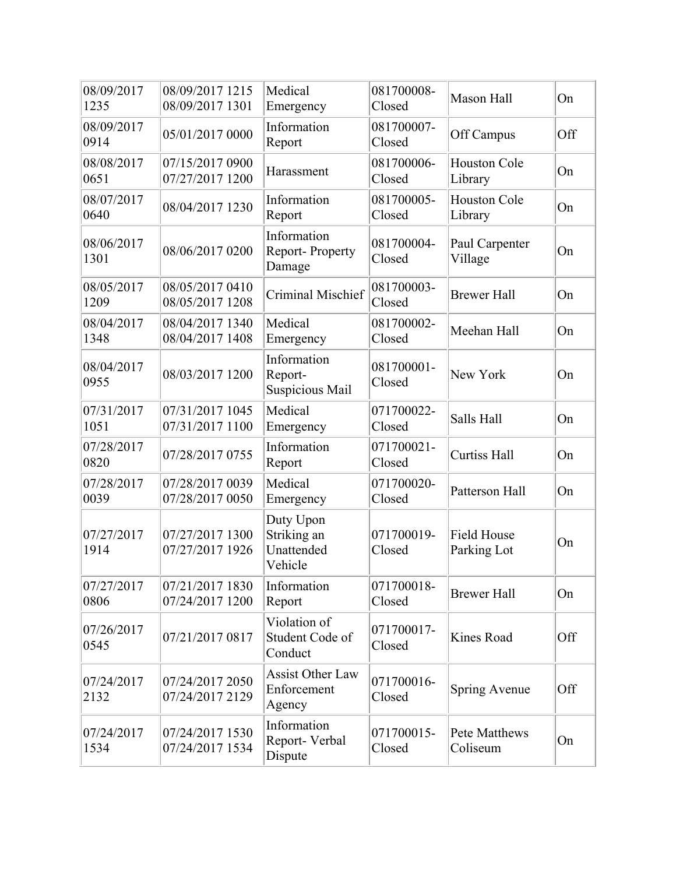| 08/09/2017<br>1235 | 08/09/2017 1215<br>08/09/2017 1301 | Medical<br>Emergency                              | 081700008-<br>Closed | Mason Hall                        | On  |
|--------------------|------------------------------------|---------------------------------------------------|----------------------|-----------------------------------|-----|
| 08/09/2017<br>0914 | 05/01/2017 0000                    | Information<br>Report                             | 081700007-<br>Closed | Off Campus                        | Off |
| 08/08/2017<br>0651 | 07/15/2017 0900<br>07/27/2017 1200 | Harassment                                        | 081700006-<br>Closed | Houston Cole<br>Library           | On  |
| 08/07/2017<br>0640 | 08/04/2017 1230                    | Information<br>Report                             | 081700005-<br>Closed | <b>Houston Cole</b><br>Library    | On  |
| 08/06/2017<br>1301 | 08/06/2017 0200                    | Information<br>Report-Property<br>Damage          | 081700004-<br>Closed | Paul Carpenter<br>Village         | On  |
| 08/05/2017<br>1209 | 08/05/2017 0410<br>08/05/2017 1208 | Criminal Mischief                                 | 081700003-<br>Closed | <b>Brewer Hall</b>                | On  |
| 08/04/2017<br>1348 | 08/04/2017 1340<br>08/04/2017 1408 | Medical<br>Emergency                              | 081700002-<br>Closed | Meehan Hall                       | On  |
| 08/04/2017<br>0955 | 08/03/2017 1200                    | Information<br>Report-<br>Suspicious Mail         | 081700001-<br>Closed | New York                          | On  |
| 07/31/2017<br>1051 | 07/31/2017 1045<br>07/31/2017 1100 | Medical<br>Emergency                              | 071700022-<br>Closed | Salls Hall                        | On  |
| 07/28/2017<br>0820 | 07/28/2017 0755                    | Information<br>Report                             | 071700021-<br>Closed | <b>Curtiss Hall</b>               | On  |
| 07/28/2017<br>0039 | 07/28/2017 0039<br>07/28/2017 0050 | Medical<br>Emergency                              | 071700020-<br>Closed | Patterson Hall                    | On  |
| 07/27/2017<br>1914 | 07/27/2017 1300<br>07/27/2017 1926 | Duty Upon<br>Striking an<br>Unattended<br>Vehicle | 071700019-<br>Closed | <b>Field House</b><br>Parking Lot | On  |
| 07/27/2017<br>0806 | 07/21/2017 1830<br>07/24/2017 1200 | Information<br>Report                             | 071700018-<br>Closed | <b>Brewer Hall</b>                | On  |
| 07/26/2017<br>0545 | 07/21/2017 0817                    | Violation of<br>Student Code of<br>Conduct        | 071700017-<br>Closed | Kines Road                        | Off |
| 07/24/2017<br>2132 | 07/24/2017 2050<br>07/24/2017 2129 | <b>Assist Other Law</b><br>Enforcement<br>Agency  | 071700016-<br>Closed | Spring Avenue                     | Off |
| 07/24/2017<br>1534 | 07/24/2017 1530<br>07/24/2017 1534 | Information<br>Report-Verbal<br>Dispute           | 071700015-<br>Closed | Pete Matthews<br>Coliseum         | On  |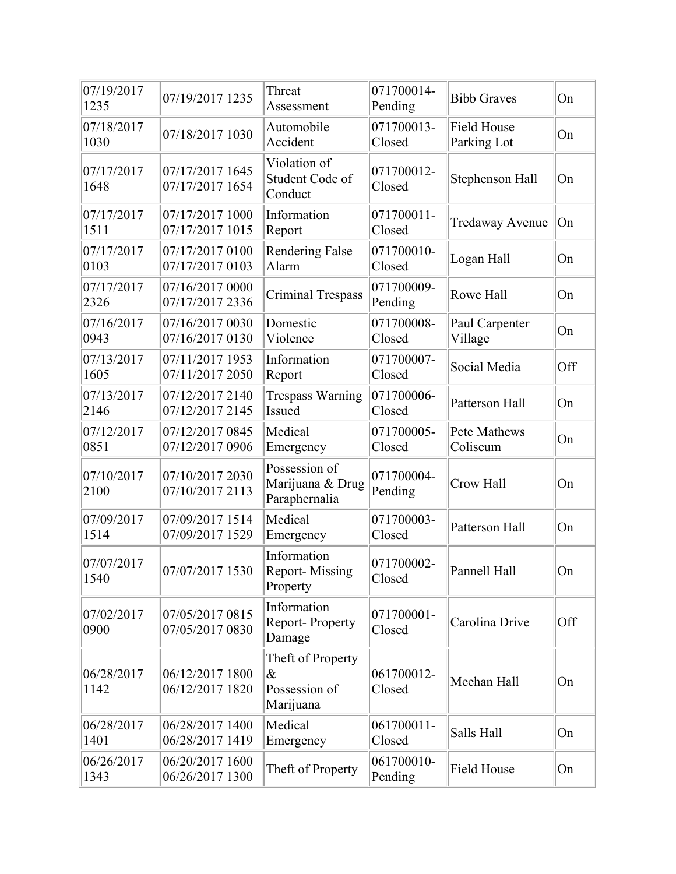| 07/19/2017<br>1235 | 07/19/2017 1235                    | Threat<br>Assessment                                    | 071700014-<br>Pending | <b>Bibb Graves</b>                | On  |
|--------------------|------------------------------------|---------------------------------------------------------|-----------------------|-----------------------------------|-----|
| 07/18/2017<br>1030 | 07/18/2017 1030                    | Automobile<br>Accident                                  | 071700013-<br>Closed  | <b>Field House</b><br>Parking Lot | On  |
| 07/17/2017<br>1648 | 07/17/2017 1645<br>07/17/2017 1654 | Violation of<br>Student Code of<br>Conduct              | 071700012-<br>Closed  | Stephenson Hall                   | On  |
| 07/17/2017<br>1511 | 07/17/2017 1000<br>07/17/2017 1015 | Information<br>Report                                   | 071700011-<br>Closed  | <b>Tredaway Avenue</b>            | On  |
| 07/17/2017<br>0103 | 07/17/2017 0100<br>07/17/2017 0103 | <b>Rendering False</b><br>Alarm                         | 071700010-<br>Closed  | Logan Hall                        | On  |
| 07/17/2017<br>2326 | 07/16/2017 0000<br>07/17/2017 2336 | <b>Criminal Trespass</b>                                | 071700009-<br>Pending | Rowe Hall                         | On  |
| 07/16/2017<br>0943 | 07/16/2017 0030<br>07/16/2017 0130 | Domestic<br>Violence                                    | 071700008-<br>Closed  | Paul Carpenter<br>Village         | On  |
| 07/13/2017<br>1605 | 07/11/2017 1953<br>07/11/2017 2050 | Information<br>Report                                   | 071700007-<br>Closed  | Social Media                      | Off |
| 07/13/2017<br>2146 | 07/12/2017 2140<br>07/12/2017 2145 | <b>Trespass Warning</b><br>Issued                       | 071700006-<br>Closed  | Patterson Hall                    | On  |
| 07/12/2017<br>0851 | 07/12/2017 0845<br>07/12/2017 0906 | Medical<br>Emergency                                    | 071700005-<br>Closed  | Pete Mathews<br>Coliseum          | On  |
| 07/10/2017<br>2100 | 07/10/2017 2030<br>07/10/2017 2113 | Possession of<br>Marijuana & Drug<br>Paraphernalia      | 071700004-<br>Pending | Crow Hall                         | On  |
| 07/09/2017<br>1514 | 07/09/2017 1514<br>07/09/2017 1529 | Medical<br>Emergency                                    | 071700003-<br>Closed  | Patterson Hall                    | On  |
| 07/07/2017<br>1540 | 07/07/2017 1530                    | Information<br><b>Report-Missing</b><br>Property        | 071700002-<br>Closed  | Pannell Hall                      | On  |
| 07/02/2017<br>0900 | 07/05/2017 0815<br>07/05/2017 0830 | Information<br>Report-Property<br>Damage                | 071700001-<br>Closed  | Carolina Drive                    | Off |
| 06/28/2017<br>1142 | 06/12/2017 1800<br>06/12/2017 1820 | Theft of Property<br>$\&$<br>Possession of<br>Marijuana | 061700012-<br>Closed  | Meehan Hall                       | On  |
| 06/28/2017<br>1401 | 06/28/2017 1400<br>06/28/2017 1419 | Medical<br>Emergency                                    | 061700011-<br>Closed  | Salls Hall                        | On  |
| 06/26/2017<br>1343 | 06/20/2017 1600<br>06/26/2017 1300 | Theft of Property                                       | 061700010-<br>Pending | <b>Field House</b>                | On  |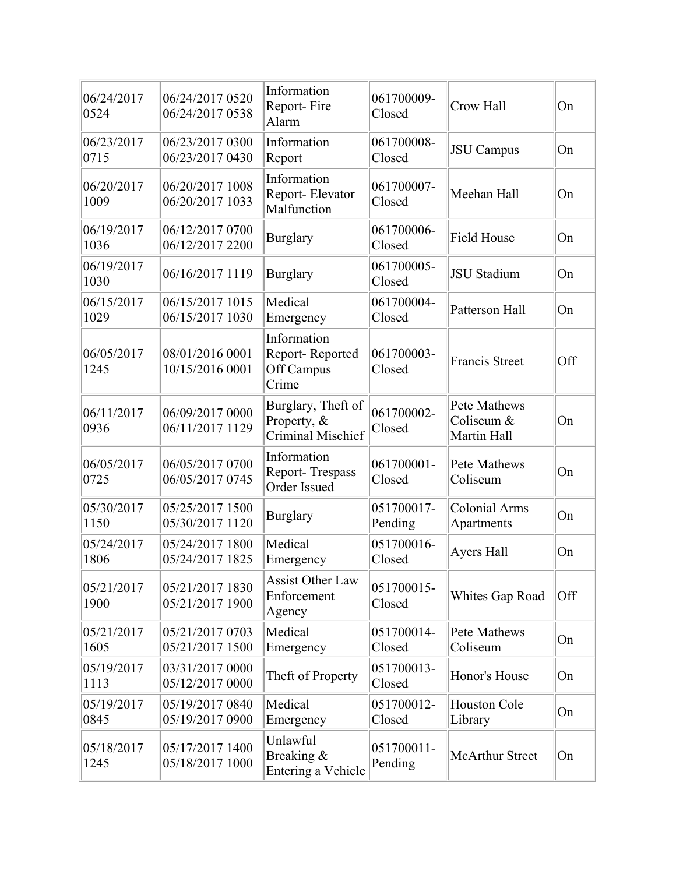| 06/24/2017<br>0524 | 06/24/2017 0520<br>06/24/2017 0538 | Information<br>Report-Fire<br>Alarm                    | 061700009-<br>Closed  | Crow Hall                                 | On  |
|--------------------|------------------------------------|--------------------------------------------------------|-----------------------|-------------------------------------------|-----|
| 06/23/2017<br>0715 | 06/23/2017 0300<br>06/23/2017 0430 | Information<br>Report                                  | 061700008-<br>Closed  | <b>JSU</b> Campus                         | On  |
| 06/20/2017<br>1009 | 06/20/2017 1008<br>06/20/2017 1033 | Information<br>Report-Elevator<br>Malfunction          | 061700007-<br>Closed  | Meehan Hall                               | On  |
| 06/19/2017<br>1036 | 06/12/2017 0700<br>06/12/2017 2200 | <b>Burglary</b>                                        | 061700006-<br>Closed  | <b>Field House</b>                        | On  |
| 06/19/2017<br>1030 | 06/16/2017 1119                    | <b>Burglary</b>                                        | 061700005-<br>Closed  | <b>JSU</b> Stadium                        | On  |
| 06/15/2017<br>1029 | 06/15/2017 1015<br>06/15/2017 1030 | Medical<br>Emergency                                   | 061700004-<br>Closed  | Patterson Hall                            | On  |
| 06/05/2017<br>1245 | 08/01/2016 0001<br>10/15/2016 0001 | Information<br>Report-Reported<br>Off Campus<br>Crime  | 061700003-<br>Closed  | <b>Francis Street</b>                     | Off |
| 06/11/2017<br>0936 | 06/09/2017 0000<br>06/11/2017 1129 | Burglary, Theft of<br>Property, &<br>Criminal Mischief | 061700002-<br>Closed  | Pete Mathews<br>Coliseum &<br>Martin Hall | On  |
| 06/05/2017<br>0725 | 06/05/2017 0700<br>06/05/2017 0745 | Information<br>Report-Trespass<br>Order Issued         | 061700001-<br>Closed  | Pete Mathews<br>Coliseum                  | On  |
| 05/30/2017<br>1150 | 05/25/2017 1500<br>05/30/2017 1120 | <b>Burglary</b>                                        | 051700017-<br>Pending | <b>Colonial Arms</b><br>Apartments        | On  |
| 05/24/2017<br>1806 | 05/24/2017 1800<br>05/24/2017 1825 | Medical<br>Emergency                                   | 051700016-<br>Closed  | Ayers Hall                                | On  |
| 05/21/2017<br>1900 | 05/21/2017 1830<br>05/21/2017 1900 | <b>Assist Other Law</b><br>Enforcement<br>Agency       | 051700015-<br>Closed  | Whites Gap Road                           | Off |
| 05/21/2017<br>1605 | 05/21/2017 0703<br>05/21/2017 1500 | Medical<br>Emergency                                   | 051700014-<br>Closed  | Pete Mathews<br>Coliseum                  | On  |
| 05/19/2017<br>1113 | 03/31/2017 0000<br>05/12/2017 0000 | Theft of Property                                      | 051700013-<br>Closed  | Honor's House                             | On  |
| 05/19/2017<br>0845 | 05/19/2017 0840<br>05/19/2017 0900 | Medical<br>Emergency                                   | 051700012-<br>Closed  | <b>Houston Cole</b><br>Library            | On  |
| 05/18/2017<br>1245 | 05/17/2017 1400<br>05/18/2017 1000 | Unlawful<br>Breaking &<br>Entering a Vehicle           | 051700011-<br>Pending | <b>McArthur Street</b>                    | On  |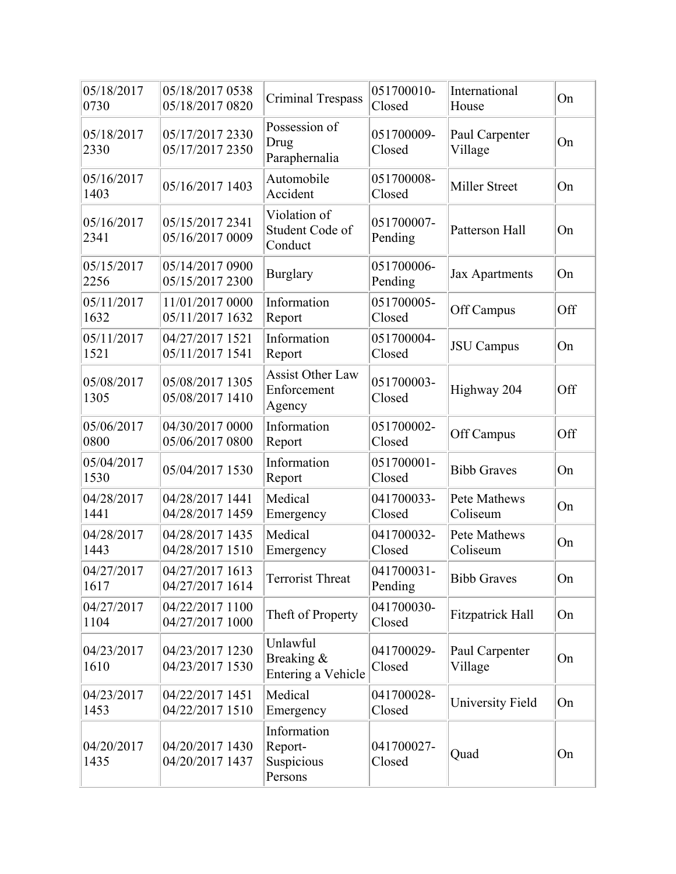| 05/18/2017<br>0730 | 05/18/2017 0538<br>05/18/2017 0820 | <b>Criminal Trespass</b>                         | 051700010-<br>Closed  | International<br>House    | On  |
|--------------------|------------------------------------|--------------------------------------------------|-----------------------|---------------------------|-----|
| 05/18/2017<br>2330 | 05/17/2017 2330<br>05/17/2017 2350 | Possession of<br>Drug<br>Paraphernalia           | 051700009-<br>Closed  | Paul Carpenter<br>Village | On  |
| 05/16/2017<br>1403 | 05/16/2017 1403                    | Automobile<br>Accident                           | 051700008-<br>Closed  | Miller Street             | On  |
| 05/16/2017<br>2341 | 05/15/2017 2341<br>05/16/2017 0009 | Violation of<br>Student Code of<br>Conduct       | 051700007-<br>Pending | Patterson Hall            | On  |
| 05/15/2017<br>2256 | 05/14/2017 0900<br>05/15/2017 2300 | <b>Burglary</b>                                  | 051700006-<br>Pending | Jax Apartments            | On  |
| 05/11/2017<br>1632 | 11/01/2017 0000<br>05/11/2017 1632 | Information<br>Report                            | 051700005-<br>Closed  | Off Campus                | Off |
| 05/11/2017<br>1521 | 04/27/2017 1521<br>05/11/2017 1541 | Information<br>Report                            | 051700004-<br>Closed  | <b>JSU</b> Campus         | On  |
| 05/08/2017<br>1305 | 05/08/2017 1305<br>05/08/2017 1410 | <b>Assist Other Law</b><br>Enforcement<br>Agency | 051700003-<br>Closed  | Highway 204               | Off |
| 05/06/2017<br>0800 | 04/30/2017 0000<br>05/06/2017 0800 | Information<br>Report                            | 051700002-<br>Closed  | Off Campus                | Off |
| 05/04/2017<br>1530 | 05/04/2017 1530                    | Information<br>Report                            | 051700001-<br>Closed  | <b>Bibb Graves</b>        | On  |
| 04/28/2017<br>1441 | 04/28/2017 1441<br>04/28/2017 1459 | Medical<br>Emergency                             | 041700033-<br>Closed  | Pete Mathews<br>Coliseum  | On  |
| 04/28/2017<br>1443 | 04/28/2017 1435<br>04/28/2017 1510 | Medical<br>Emergency                             | 041700032-<br>Closed  | Pete Mathews<br>Coliseum  | On  |
| 04/27/2017<br>1617 | 04/27/2017 1613<br>04/27/2017 1614 | Terrorist Threat                                 | 041700031-<br>Pending | <b>Bibb Graves</b>        | On  |
| 04/27/2017<br>1104 | 04/22/2017 1100<br>04/27/2017 1000 | Theft of Property                                | 041700030-<br>Closed  | <b>Fitzpatrick Hall</b>   | On  |
| 04/23/2017<br>1610 | 04/23/2017 1230<br>04/23/2017 1530 | Unlawful<br>Breaking &<br>Entering a Vehicle     | 041700029-<br>Closed  | Paul Carpenter<br>Village | On  |
| 04/23/2017<br>1453 | 04/22/2017 1451<br>04/22/2017 1510 | Medical<br>Emergency                             | 041700028-<br>Closed  | University Field          | On  |
| 04/20/2017<br>1435 | 04/20/2017 1430<br>04/20/2017 1437 | Information<br>Report-<br>Suspicious<br>Persons  | 041700027-<br>Closed  | Quad                      | On  |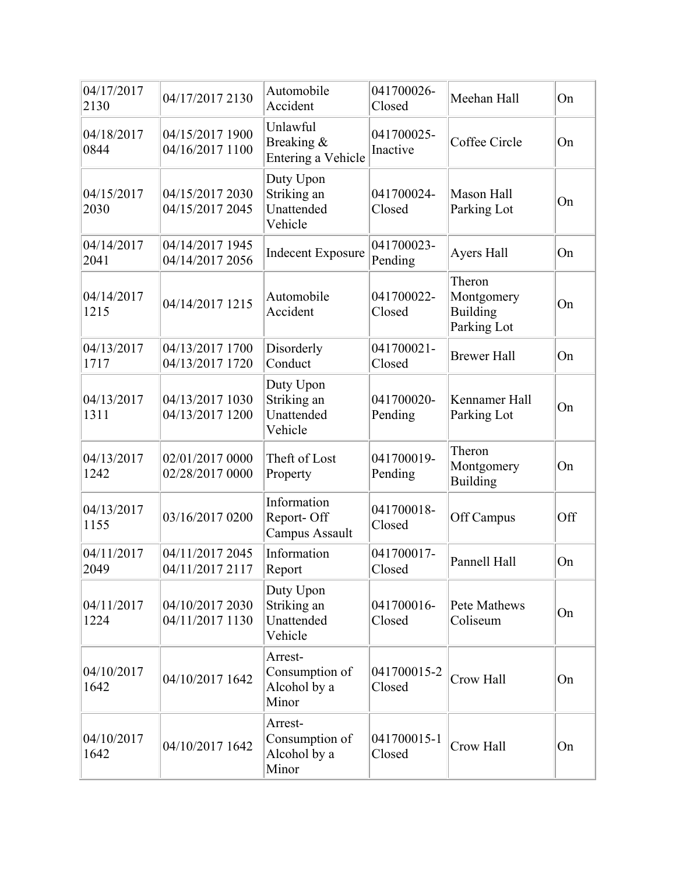| 04/17/2017<br>2130 | 04/17/2017 2130                    | Automobile<br>Accident                             | 041700026-<br>Closed   | Meehan Hall                                            | On  |
|--------------------|------------------------------------|----------------------------------------------------|------------------------|--------------------------------------------------------|-----|
| 04/18/2017<br>0844 | 04/15/2017 1900<br>04/16/2017 1100 | Unlawful<br>Breaking &<br>Entering a Vehicle       | 041700025-<br>Inactive | Coffee Circle                                          | On  |
| 04/15/2017<br>2030 | 04/15/2017 2030<br>04/15/2017 2045 | Duty Upon<br>Striking an<br>Unattended<br>Vehicle  | 041700024-<br>Closed   | Mason Hall<br>Parking Lot                              | On  |
| 04/14/2017<br>2041 | 04/14/2017 1945<br>04/14/2017 2056 | <b>Indecent Exposure</b>                           | 041700023-<br>Pending  | Ayers Hall                                             | On  |
| 04/14/2017<br>1215 | 04/14/2017 1215                    | Automobile<br>Accident                             | 041700022-<br>Closed   | Theron<br>Montgomery<br><b>Building</b><br>Parking Lot | On  |
| 04/13/2017<br>1717 | 04/13/2017 1700<br>04/13/2017 1720 | Disorderly<br>Conduct                              | 041700021-<br>Closed   | <b>Brewer Hall</b>                                     | On  |
| 04/13/2017<br>1311 | 04/13/2017 1030<br>04/13/2017 1200 | Duty Upon<br>Striking an<br>Unattended<br>Vehicle  | 041700020-<br>Pending  | Kennamer Hall<br>Parking Lot                           | On  |
| 04/13/2017<br>1242 | 02/01/2017 0000<br>02/28/2017 0000 | Theft of Lost<br>Property                          | 041700019-<br>Pending  | Theron<br>Montgomery<br><b>Building</b>                | On  |
| 04/13/2017<br>1155 | 03/16/2017 0200                    | Information<br>Report-Off<br>Campus Assault        | 041700018-<br>Closed   | Off Campus                                             | Off |
| 04/11/2017<br>2049 | 04/11/2017 2045<br>04/11/2017 2117 | Information<br>Report                              | 041700017-<br>Closed   | Pannell Hall                                           | On  |
| 04/11/2017<br>1224 | 04/10/2017 2030<br>04/11/2017 1130 | Duty Upon<br>Striking an<br>Unattended<br>Vehicle  | 041700016-<br>Closed   | Pete Mathews<br>Coliseum                               | On  |
| 04/10/2017<br>1642 | 04/10/2017 1642                    | Arrest-<br>Consumption of<br>Alcohol by a<br>Minor | 041700015-2<br>Closed  | Crow Hall                                              | On  |
| 04/10/2017<br>1642 | 04/10/2017 1642                    | Arrest-<br>Consumption of<br>Alcohol by a<br>Minor | 041700015-1<br>Closed  | Crow Hall                                              | On  |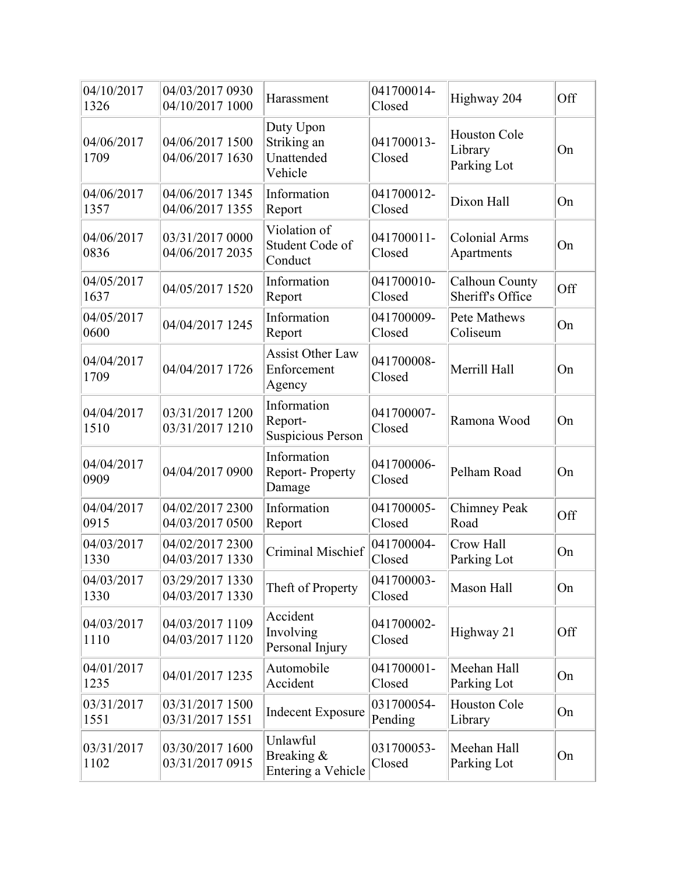| 04/10/2017<br>1326 | 04/03/2017 0930<br>04/10/2017 1000 | Harassment                                         | 041700014-<br>Closed  | Highway 204                                   | Off |
|--------------------|------------------------------------|----------------------------------------------------|-----------------------|-----------------------------------------------|-----|
| 04/06/2017<br>1709 | 04/06/2017 1500<br>04/06/2017 1630 | Duty Upon<br>Striking an<br>Unattended<br>Vehicle  | 041700013-<br>Closed  | <b>Houston Cole</b><br>Library<br>Parking Lot | On  |
| 04/06/2017<br>1357 | 04/06/2017 1345<br>04/06/2017 1355 | Information<br>Report                              | 041700012-<br>Closed  | Dixon Hall                                    | On  |
| 04/06/2017<br>0836 | 03/31/2017 0000<br>04/06/2017 2035 | Violation of<br>Student Code of<br>Conduct         | 041700011-<br>Closed  | Colonial Arms<br>Apartments                   | On  |
| 04/05/2017<br>1637 | 04/05/2017 1520                    | Information<br>Report                              | 041700010-<br>Closed  | Calhoun County<br>Sheriff's Office            | Off |
| 04/05/2017<br>0600 | 04/04/2017 1245                    | Information<br>Report                              | 041700009-<br>Closed  | Pete Mathews<br>Coliseum                      | On  |
| 04/04/2017<br>1709 | 04/04/2017 1726                    | <b>Assist Other Law</b><br>Enforcement<br>Agency   | 041700008-<br>Closed  | Merrill Hall                                  | On  |
| 04/04/2017<br>1510 | 03/31/2017 1200<br>03/31/2017 1210 | Information<br>Report-<br><b>Suspicious Person</b> | 041700007-<br>Closed  | Ramona Wood                                   | On  |
| 04/04/2017<br>0909 | 04/04/2017 0900                    | Information<br>Report-Property<br>Damage           | 041700006-<br>Closed  | Pelham Road                                   | On  |
| 04/04/2017<br>0915 | 04/02/2017 2300<br>04/03/2017 0500 | Information<br>Report                              | 041700005-<br>Closed  | <b>Chimney Peak</b><br>Road                   | Off |
| 04/03/2017<br>1330 | 04/02/2017 2300<br>04/03/2017 1330 | Criminal Mischief                                  | 041700004-<br>Closed  | Crow Hall<br>Parking Lot                      | On  |
| 04/03/2017<br>1330 | 03/29/2017 1330<br>04/03/2017 1330 | Theft of Property                                  | 041700003-<br>Closed  | Mason Hall                                    | On  |
| 04/03/2017<br>1110 | 04/03/2017 1109<br>04/03/2017 1120 | Accident<br>Involving<br>Personal Injury           | 041700002-<br>Closed  | Highway 21                                    | Off |
| 04/01/2017<br>1235 | 04/01/2017 1235                    | Automobile<br>Accident                             | 041700001-<br>Closed  | Meehan Hall<br>Parking Lot                    | On  |
| 03/31/2017<br>1551 | 03/31/2017 1500<br>03/31/2017 1551 | <b>Indecent Exposure</b>                           | 031700054-<br>Pending | Houston Cole<br>Library                       | On  |
| 03/31/2017<br>1102 | 03/30/2017 1600<br>03/31/2017 0915 | Unlawful<br>Breaking &<br>Entering a Vehicle       | 031700053-<br>Closed  | Meehan Hall<br>Parking Lot                    | On  |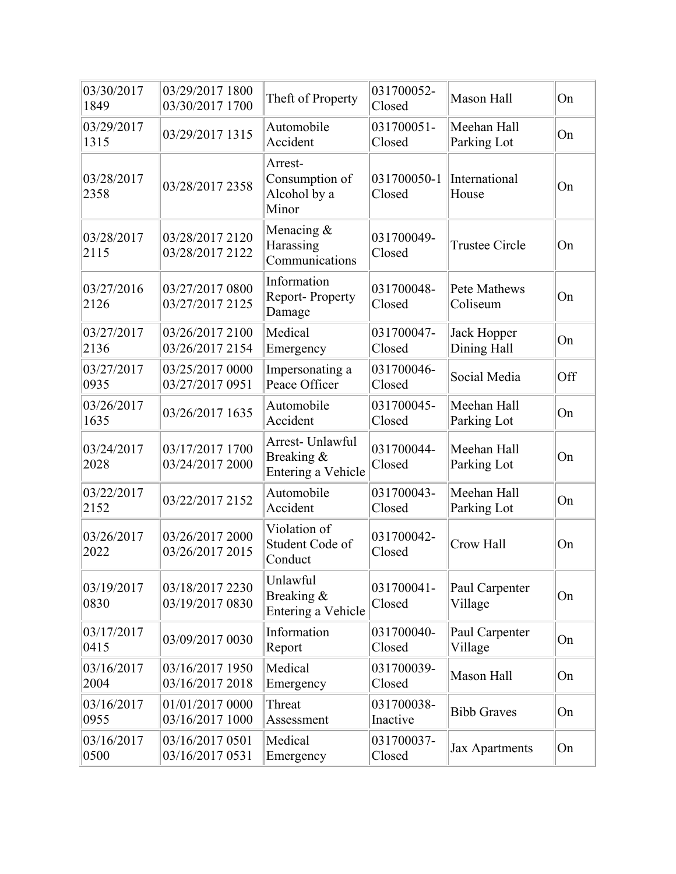| 03/30/2017<br>1849 | 03/29/2017 1800<br>03/30/2017 1700 | Theft of Property                                    | 031700052-<br>Closed   | <b>Mason Hall</b>          | On  |
|--------------------|------------------------------------|------------------------------------------------------|------------------------|----------------------------|-----|
| 03/29/2017<br>1315 | 03/29/2017 1315                    | Automobile<br>Accident                               | 031700051-<br>Closed   | Meehan Hall<br>Parking Lot | On  |
| 03/28/2017<br>2358 | 03/28/2017 2358                    | Arrest-<br>Consumption of<br>Alcohol by a<br>Minor   | 031700050-1<br>Closed  | International<br>House     | On  |
| 03/28/2017<br>2115 | 03/28/2017 2120<br>03/28/2017 2122 | Menacing &<br>Harassing<br>Communications            | 031700049-<br>Closed   | <b>Trustee Circle</b>      | On  |
| 03/27/2016<br>2126 | 03/27/2017 0800<br>03/27/2017 2125 | Information<br><b>Report-Property</b><br>Damage      | 031700048-<br>Closed   | Pete Mathews<br>Coliseum   | On  |
| 03/27/2017<br>2136 | 03/26/2017 2100<br>03/26/2017 2154 | Medical<br>Emergency                                 | 031700047-<br>Closed   | Jack Hopper<br>Dining Hall | On  |
| 03/27/2017<br>0935 | 03/25/2017 0000<br>03/27/2017 0951 | Impersonating a<br>Peace Officer                     | 031700046-<br>Closed   | Social Media               | Off |
| 03/26/2017<br>1635 | 03/26/2017 1635                    | Automobile<br>Accident                               | 031700045-<br>Closed   | Meehan Hall<br>Parking Lot | On  |
| 03/24/2017<br>2028 | 03/17/2017 1700<br>03/24/2017 2000 | Arrest- Unlawful<br>Breaking &<br>Entering a Vehicle | 031700044-<br>Closed   | Meehan Hall<br>Parking Lot | On  |
| 03/22/2017<br>2152 | 03/22/2017 2152                    | Automobile<br>Accident                               | 031700043-<br>Closed   | Meehan Hall<br>Parking Lot | On  |
| 03/26/2017<br>2022 | 03/26/2017 2000<br>03/26/2017 2015 | Violation of<br>Student Code of<br>Conduct           | 031700042-<br>Closed   | Crow Hall                  | On  |
| 03/19/2017<br>0830 | 03/18/2017 2230<br>03/19/2017 0830 | Unlawful<br>Breaking &<br>Entering a Vehicle         | 031700041-<br>Closed   | Paul Carpenter<br>Village  | On  |
| 03/17/2017<br>0415 | 03/09/2017 0030                    | Information<br>Report                                | 031700040-<br>Closed   | Paul Carpenter<br>Village  | On  |
| 03/16/2017<br>2004 | 03/16/2017 1950<br>03/16/2017 2018 | Medical<br>Emergency                                 | 031700039-<br>Closed   | Mason Hall                 | On  |
| 03/16/2017<br>0955 | 01/01/2017 0000<br>03/16/2017 1000 | Threat<br>Assessment                                 | 031700038-<br>Inactive | <b>Bibb Graves</b>         | On  |
| 03/16/2017<br>0500 | 03/16/2017 0501<br>03/16/2017 0531 | Medical<br>Emergency                                 | 031700037-<br>Closed   | Jax Apartments             | On  |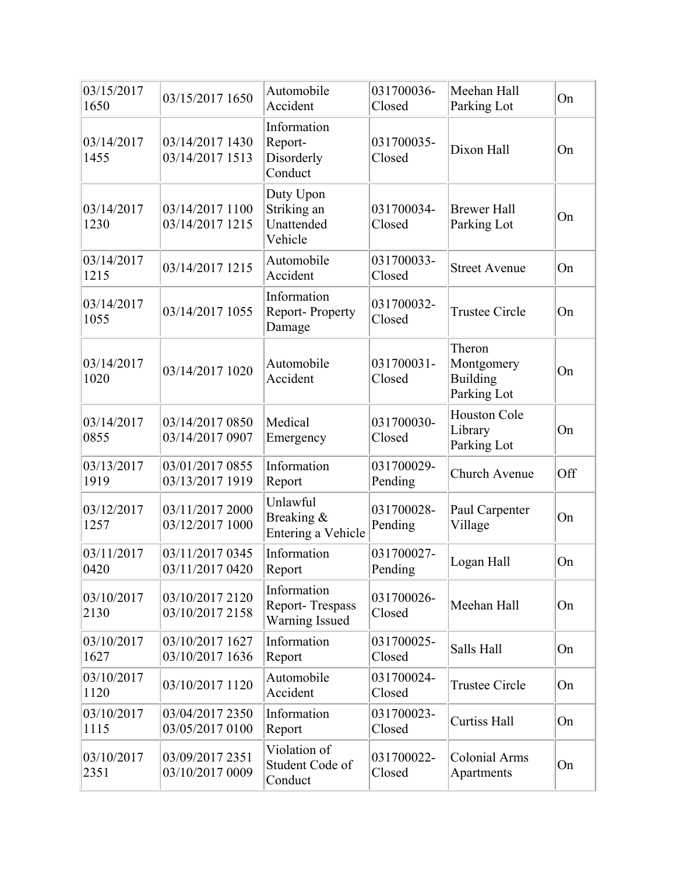| 03/15/2017<br>1650 | 03/15/2017 1650                    | Automobile<br>Accident                                         | 031700036-<br>Closed  | Meehan Hall<br>Parking Lot                      | On  |
|--------------------|------------------------------------|----------------------------------------------------------------|-----------------------|-------------------------------------------------|-----|
| 03/14/2017<br>1455 | 03/14/2017 1430<br>03/14/2017 1513 | Information<br>Report-<br>Disorderly<br>Conduct                | 031700035-<br>Closed  | Dixon Hall                                      | On  |
| 03/14/2017<br>1230 | 03/14/2017 1100<br>03/14/2017 1215 | Duty Upon<br>Striking an<br>Unattended<br>Vehicle              | 031700034-<br>Closed  | <b>Brewer Hall</b><br>Parking Lot               | On  |
| 03/14/2017<br>1215 | 03/14/2017 1215                    | Automobile<br>Accident                                         | 031700033-<br>Closed  | <b>Street Avenue</b>                            | On  |
| 03/14/2017<br>1055 | 03/14/2017 1055                    | Information<br>Report-Property<br>Damage                       | 031700032-<br>Closed  | <b>Trustee Circle</b>                           | On  |
| 03/14/2017<br>1020 | 03/14/2017 1020                    | Automobile<br>Accident                                         | 031700031-<br>Closed  | Theron<br>Montgomery<br>Building<br>Parking Lot | On  |
| 03/14/2017<br>0855 | 03/14/2017 0850<br>03/14/2017 0907 | Medical<br>Emergency                                           | 031700030-<br>Closed  | <b>Houston Cole</b><br>Library<br>Parking Lot   | On  |
| 03/13/2017<br>1919 | 03/01/2017 0855<br>03/13/2017 1919 | Information<br>Report                                          | 031700029-<br>Pending | Church Avenue                                   | Off |
| 03/12/2017<br>1257 | 03/11/2017 2000<br>03/12/2017 1000 | Unlawful<br>Breaking &<br>Entering a Vehicle                   | 031700028-<br>Pending | Paul Carpenter<br>Village                       | On  |
| 03/11/2017<br>0420 | 03/11/2017 0345<br>03/11/2017 0420 | Information<br>Report                                          | 031700027-<br>Pending | Logan Hall                                      | On  |
| 03/10/2017<br>2130 | 03/10/2017 2120<br>03/10/2017 2158 | Information<br><b>Report-Trespass</b><br><b>Warning Issued</b> | 031700026-<br>Closed  | Meehan Hall                                     | On  |
| 03/10/2017<br>1627 | 03/10/2017 1627<br>03/10/2017 1636 | Information<br>Report                                          | 031700025-<br>Closed  | Salls Hall                                      | On  |
| 03/10/2017<br>1120 | 03/10/2017 1120                    | Automobile<br>Accident                                         | 031700024-<br>Closed  | <b>Trustee Circle</b>                           | On  |
| 03/10/2017<br>1115 | 03/04/2017 2350<br>03/05/2017 0100 | Information<br>Report                                          | 031700023-<br>Closed  | <b>Curtiss Hall</b>                             | On  |
| 03/10/2017<br>2351 | 03/09/2017 2351<br>03/10/2017 0009 | Violation of<br>Student Code of<br>Conduct                     | 031700022-<br>Closed  | <b>Colonial Arms</b><br>Apartments              | On  |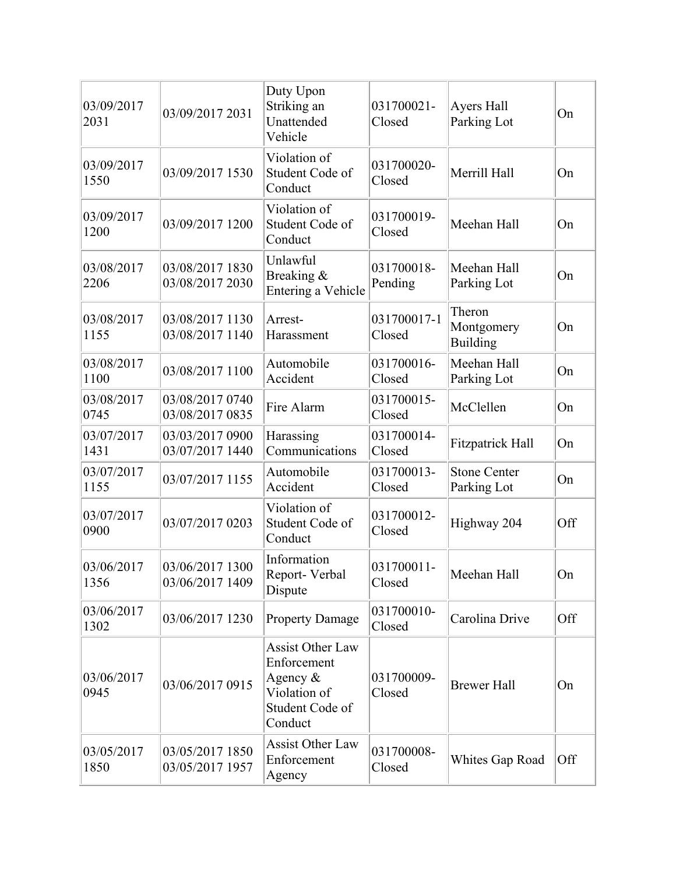| 03/09/2017<br>2031 | 03/09/2017 2031                    | Duty Upon<br>Striking an<br>Unattended<br>Vehicle                                                  | 031700021-<br>Closed  | Ayers Hall<br>Parking Lot          | On  |
|--------------------|------------------------------------|----------------------------------------------------------------------------------------------------|-----------------------|------------------------------------|-----|
| 03/09/2017<br>1550 | 03/09/2017 1530                    | Violation of<br>Student Code of<br>Conduct                                                         | 031700020-<br>Closed  | Merrill Hall                       | On  |
| 03/09/2017<br>1200 | 03/09/2017 1200                    | Violation of<br>Student Code of<br>Conduct                                                         | 031700019-<br>Closed  | Meehan Hall                        | On  |
| 03/08/2017<br>2206 | 03/08/2017 1830<br>03/08/2017 2030 | Unlawful<br>Breaking &<br>Entering a Vehicle                                                       | 031700018-<br>Pending | Meehan Hall<br>Parking Lot         | On  |
| 03/08/2017<br>1155 | 03/08/2017 1130<br>03/08/2017 1140 | Arrest-<br>Harassment                                                                              | 031700017-1<br>Closed | Theron<br>Montgomery<br>Building   | On  |
| 03/08/2017<br>1100 | 03/08/2017 1100                    | Automobile<br>Accident                                                                             | 031700016-<br>Closed  | Meehan Hall<br>Parking Lot         | On  |
| 03/08/2017<br>0745 | 03/08/2017 0740<br>03/08/2017 0835 | Fire Alarm                                                                                         | 031700015-<br>Closed  | McClellen                          | On  |
| 03/07/2017<br>1431 | 03/03/2017 0900<br>03/07/2017 1440 | Harassing<br>Communications                                                                        | 031700014-<br>Closed  | <b>Fitzpatrick Hall</b>            | On  |
| 03/07/2017<br>1155 | 03/07/2017 1155                    | Automobile<br>Accident                                                                             | 031700013-<br>Closed  | <b>Stone Center</b><br>Parking Lot | On  |
| 03/07/2017<br>0900 | 03/07/2017 0203                    | Violation of<br>Student Code of<br>Conduct                                                         | 031700012-<br>Closed  | Highway 204                        | Off |
| 03/06/2017<br>1356 | 03/06/2017 1300<br>03/06/2017 1409 | Information<br>Report-Verbal<br>Dispute                                                            | 031700011-<br>Closed  | Meehan Hall                        | On  |
| 03/06/2017<br>1302 | 03/06/2017 1230                    | <b>Property Damage</b>                                                                             | 031700010-<br>Closed  | Carolina Drive                     | Off |
| 03/06/2017<br>0945 | 03/06/2017 0915                    | <b>Assist Other Law</b><br>Enforcement<br>Agency $&$<br>Violation of<br>Student Code of<br>Conduct | 031700009-<br>Closed  | <b>Brewer Hall</b>                 | On  |
| 03/05/2017<br>1850 | 03/05/2017 1850<br>03/05/2017 1957 | <b>Assist Other Law</b><br>Enforcement<br>Agency                                                   | 031700008-<br>Closed  | Whites Gap Road                    | Off |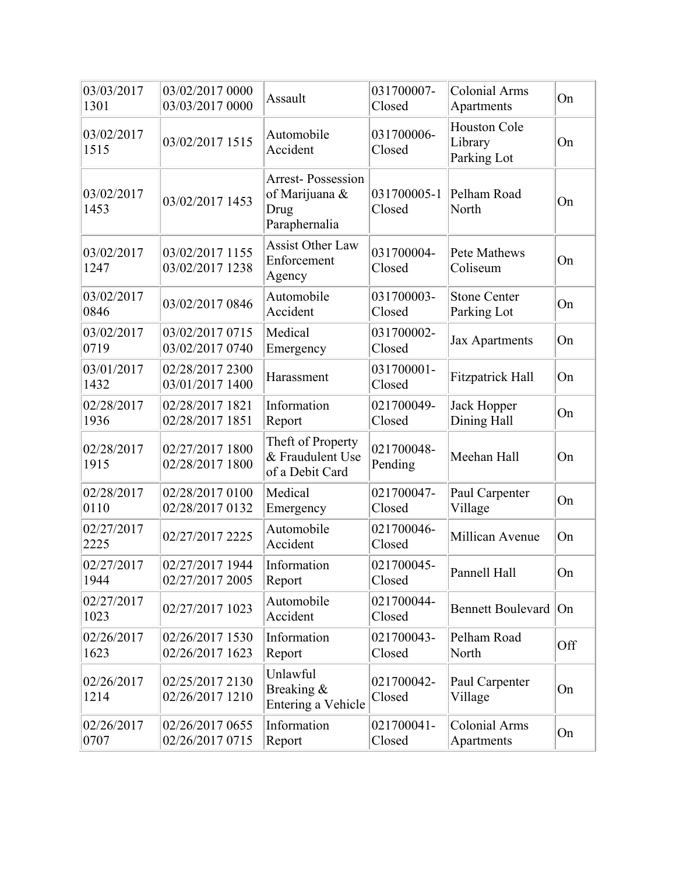| 03/03/2017<br>1301 | 03/02/2017 0000<br>03/03/2017 0000 | Assault                                                             | 031700007-<br>Closed  | <b>Colonial Arms</b><br>Apartments            | On  |
|--------------------|------------------------------------|---------------------------------------------------------------------|-----------------------|-----------------------------------------------|-----|
| 03/02/2017<br>1515 | 03/02/2017 1515                    | Automobile<br>Accident                                              | 031700006-<br>Closed  | <b>Houston Cole</b><br>Library<br>Parking Lot | On  |
| 03/02/2017<br>1453 | 03/02/2017 1453                    | <b>Arrest-Possession</b><br>of Marijuana &<br>Drug<br>Paraphernalia | 031700005-1<br>Closed | Pelham Road<br>North                          | On  |
| 03/02/2017<br>1247 | 03/02/2017 1155<br>03/02/2017 1238 | <b>Assist Other Law</b><br>Enforcement<br>Agency                    | 031700004-<br>Closed  | Pete Mathews<br>Coliseum                      | On  |
| 03/02/2017<br>0846 | 03/02/2017 0846                    | Automobile<br>Accident                                              | 031700003-<br>Closed  | <b>Stone Center</b><br>Parking Lot            | On  |
| 03/02/2017<br>0719 | 03/02/2017 0715<br>03/02/2017 0740 | Medical<br>Emergency                                                | 031700002-<br>Closed  | Jax Apartments                                | On  |
| 03/01/2017<br>1432 | 02/28/2017 2300<br>03/01/2017 1400 | Harassment                                                          | 031700001-<br>Closed  | <b>Fitzpatrick Hall</b>                       | On  |
| 02/28/2017<br>1936 | 02/28/2017 1821<br>02/28/2017 1851 | Information<br>Report                                               | 021700049-<br>Closed  | Jack Hopper<br>Dining Hall                    | On  |
| 02/28/2017<br>1915 | 02/27/2017 1800<br>02/28/2017 1800 | Theft of Property<br>& Fraudulent Use<br>of a Debit Card            | 021700048-<br>Pending | Meehan Hall                                   | On  |
| 02/28/2017<br>0110 | 02/28/2017 0100<br>02/28/2017 0132 | Medical<br>Emergency                                                | 021700047-<br>Closed  | Paul Carpenter<br>Village                     | On  |
| 02/27/2017<br>2225 | 02/27/2017 2225                    | Automobile<br>Accident                                              | 021700046-<br>Closed  | Millican Avenue                               | On  |
| 02/27/2017<br>1944 | 02/27/2017 1944<br>02/27/2017 2005 | Information<br>Report                                               | 021700045-<br>Closed  | Pannell Hall                                  | On  |
| 02/27/2017<br>1023 | 02/27/2017 1023                    | Automobile<br>Accident                                              | 021700044-<br>Closed  | Bennett Boulevard On                          |     |
| 02/26/2017<br>1623 | 02/26/2017 1530<br>02/26/2017 1623 | Information<br>Report                                               | 021700043-<br>Closed  | Pelham Road<br>North                          | Off |
| 02/26/2017<br>1214 | 02/25/2017 2130<br>02/26/2017 1210 | Unlawful<br>Breaking &<br>Entering a Vehicle                        | 021700042-<br>Closed  | Paul Carpenter<br>Village                     | On  |
| 02/26/2017<br>0707 | 02/26/2017 0655<br>02/26/2017 0715 | Information<br>Report                                               | 021700041-<br>Closed  | <b>Colonial Arms</b><br>Apartments            | On  |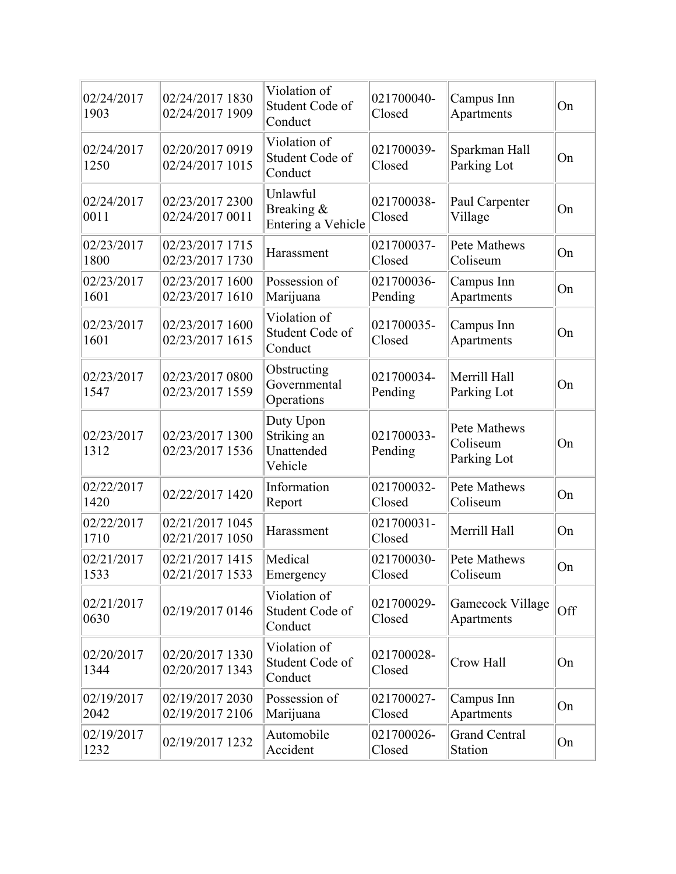| 02/24/2017<br>1903 | 02/24/2017 1830<br>02/24/2017 1909 | Violation of<br>Student Code of<br>Conduct        | 021700040-<br>Closed  | Campus Inn<br>Apartments                | On  |
|--------------------|------------------------------------|---------------------------------------------------|-----------------------|-----------------------------------------|-----|
| 02/24/2017<br>1250 | 02/20/2017 0919<br>02/24/2017 1015 | Violation of<br>Student Code of<br>Conduct        | 021700039-<br>Closed  | Sparkman Hall<br>Parking Lot            | On  |
| 02/24/2017<br>0011 | 02/23/2017 2300<br>02/24/2017 0011 | Unlawful<br>Breaking &<br>Entering a Vehicle      | 021700038-<br>Closed  | Paul Carpenter<br>Village               | On  |
| 02/23/2017<br>1800 | 02/23/2017 1715<br>02/23/2017 1730 | Harassment                                        | 021700037-<br>Closed  | Pete Mathews<br>Coliseum                | On  |
| 02/23/2017<br>1601 | 02/23/2017 1600<br>02/23/2017 1610 | Possession of<br>Marijuana                        | 021700036-<br>Pending | Campus Inn<br>Apartments                | On  |
| 02/23/2017<br>1601 | 02/23/2017 1600<br>02/23/2017 1615 | Violation of<br>Student Code of<br>Conduct        | 021700035-<br>Closed  | Campus Inn<br>Apartments                | On  |
| 02/23/2017<br>1547 | 02/23/2017 0800<br>02/23/2017 1559 | Obstructing<br>Governmental<br>Operations         | 021700034-<br>Pending | Merrill Hall<br>Parking Lot             | On  |
| 02/23/2017<br>1312 | 02/23/2017 1300<br>02/23/2017 1536 | Duty Upon<br>Striking an<br>Unattended<br>Vehicle | 021700033-<br>Pending | Pete Mathews<br>Coliseum<br>Parking Lot | On  |
| 02/22/2017<br>1420 | 02/22/2017 1420                    | Information<br>Report                             | 021700032-<br>Closed  | Pete Mathews<br>Coliseum                | On  |
| 02/22/2017<br>1710 | 02/21/2017 1045<br>02/21/2017 1050 | Harassment                                        | 021700031-<br>Closed  | Merrill Hall                            | On  |
| 02/21/2017<br>1533 | 02/21/2017 1415<br>02/21/2017 1533 | Medical<br>Emergency                              | 021700030-<br>Closed  | Pete Mathews<br>Coliseum                | On  |
| 02/21/2017<br>0630 | 02/19/2017 0146                    | Violation of<br>Student Code of<br>Conduct        | 021700029-<br>Closed  | Gamecock Village<br>Apartments          | Off |
| 02/20/2017<br>1344 | 02/20/2017 1330<br>02/20/2017 1343 | Violation of<br>Student Code of<br>Conduct        | 021700028-<br>Closed  | Crow Hall                               | On  |
| 02/19/2017<br>2042 | 02/19/2017 2030<br>02/19/2017 2106 | Possession of<br>Marijuana                        | 021700027-<br>Closed  | Campus Inn<br>Apartments                | On  |
| 02/19/2017<br>1232 | 02/19/2017 1232                    | Automobile<br>Accident                            | 021700026-<br>Closed  | <b>Grand Central</b><br>Station         | On  |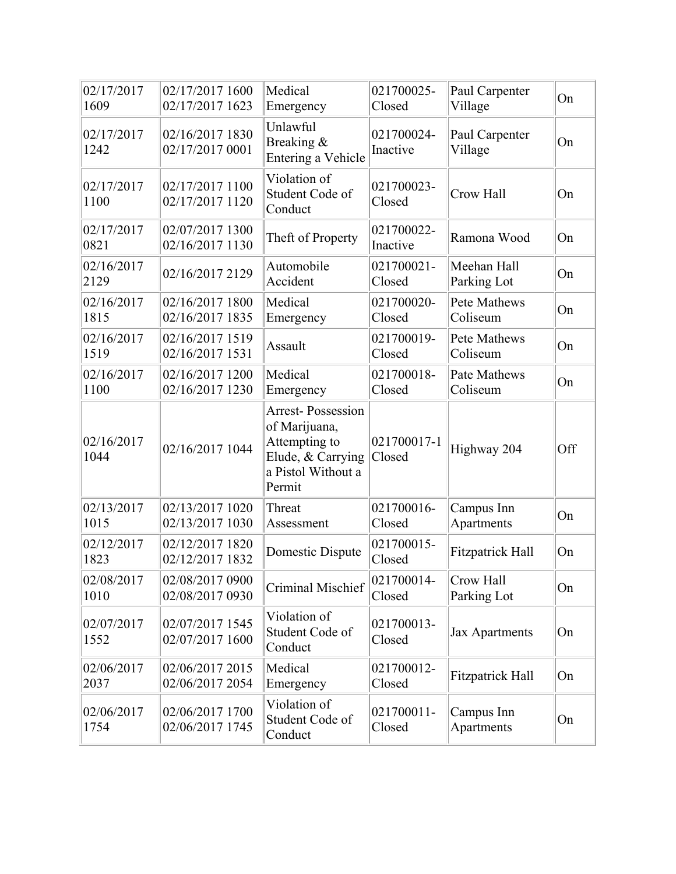| 02/17/2017<br>1609 | 02/17/2017 1600<br>02/17/2017 1623 | Medical<br>Emergency                                                                                            | 021700025-<br>Closed   | Paul Carpenter<br>Village  | On  |
|--------------------|------------------------------------|-----------------------------------------------------------------------------------------------------------------|------------------------|----------------------------|-----|
| 02/17/2017<br>1242 | 02/16/2017 1830<br>02/17/2017 0001 | Unlawful<br>Breaking &<br>Entering a Vehicle                                                                    | 021700024-<br>Inactive | Paul Carpenter<br>Village  | On  |
| 02/17/2017<br>1100 | 02/17/2017 1100<br>02/17/2017 1120 | Violation of<br>Student Code of<br>Conduct                                                                      | 021700023-<br>Closed   | Crow Hall                  | On  |
| 02/17/2017<br>0821 | 02/07/2017 1300<br>02/16/2017 1130 | Theft of Property                                                                                               | 021700022-<br>Inactive | Ramona Wood                | On  |
| 02/16/2017<br>2129 | 02/16/2017 2129                    | Automobile<br>Accident                                                                                          | 021700021-<br>Closed   | Meehan Hall<br>Parking Lot | On  |
| 02/16/2017<br>1815 | 02/16/2017 1800<br>02/16/2017 1835 | Medical<br>Emergency                                                                                            | 021700020-<br>Closed   | Pete Mathews<br>Coliseum   | On  |
| 02/16/2017<br>1519 | 02/16/2017 1519<br>02/16/2017 1531 | Assault                                                                                                         | 021700019-<br>Closed   | Pete Mathews<br>Coliseum   | On  |
| 02/16/2017<br>1100 | 02/16/2017 1200<br>02/16/2017 1230 | Medical<br>Emergency                                                                                            | 021700018-<br>Closed   | Pate Mathews<br>Coliseum   | On  |
| 02/16/2017<br>1044 | 02/16/2017 1044                    | <b>Arrest-Possession</b><br>of Marijuana,<br>Attempting to<br>Elude, & Carrying<br>a Pistol Without a<br>Permit | 021700017-1<br>Closed  | Highway 204                | Off |
| 02/13/2017<br>1015 | 02/13/2017 1020<br>02/13/2017 1030 | Threat<br>Assessment                                                                                            | 021700016-<br>Closed   | Campus Inn<br>Apartments   | On  |
| 02/12/2017<br>1823 | 02/12/2017 1820<br>02/12/2017 1832 | Domestic Dispute                                                                                                | 021700015-<br>Closed   | <b>Fitzpatrick Hall</b>    | On  |
| 02/08/2017<br>1010 | 02/08/2017 0900<br>02/08/2017 0930 | Criminal Mischief                                                                                               | 021700014-<br>Closed   | Crow Hall<br>Parking Lot   | On  |
| 02/07/2017<br>1552 | 02/07/2017 1545<br>02/07/2017 1600 | Violation of<br>Student Code of<br>Conduct                                                                      | 021700013-<br>Closed   | Jax Apartments             | On  |
| 02/06/2017<br>2037 | 02/06/2017 2015<br>02/06/2017 2054 | Medical<br>Emergency                                                                                            | 021700012-<br>Closed   | Fitzpatrick Hall           | On  |
| 02/06/2017<br>1754 | 02/06/2017 1700<br>02/06/2017 1745 | Violation of<br>Student Code of<br>Conduct                                                                      | 021700011-<br>Closed   | Campus Inn<br>Apartments   | On  |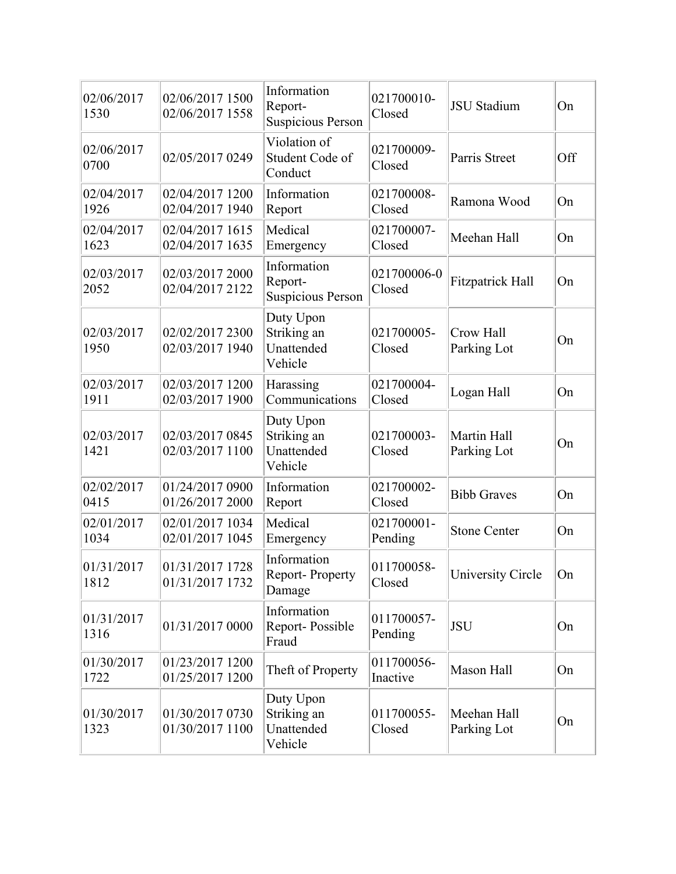| 02/06/2017<br>1530 | 02/06/2017 1500<br>02/06/2017 1558 | Information<br>Report-<br><b>Suspicious Person</b> | 021700010-<br>Closed   | <b>JSU</b> Stadium         | On  |
|--------------------|------------------------------------|----------------------------------------------------|------------------------|----------------------------|-----|
| 02/06/2017<br>0700 | 02/05/2017 0249                    | Violation of<br>Student Code of<br>Conduct         | 021700009-<br>Closed   | Parris Street              | Off |
| 02/04/2017<br>1926 | 02/04/2017 1200<br>02/04/2017 1940 | Information<br>Report                              | 021700008-<br>Closed   | Ramona Wood                | On  |
| 02/04/2017<br>1623 | 02/04/2017 1615<br>02/04/2017 1635 | Medical<br>Emergency                               | 021700007-<br>Closed   | Meehan Hall                | On  |
| 02/03/2017<br>2052 | 02/03/2017 2000<br>02/04/2017 2122 | Information<br>Report-<br><b>Suspicious Person</b> | 021700006-0<br>Closed  | <b>Fitzpatrick Hall</b>    | On  |
| 02/03/2017<br>1950 | 02/02/2017 2300<br>02/03/2017 1940 | Duty Upon<br>Striking an<br>Unattended<br>Vehicle  | 021700005-<br>Closed   | Crow Hall<br>Parking Lot   | On  |
| 02/03/2017<br>1911 | 02/03/2017 1200<br>02/03/2017 1900 | Harassing<br>Communications                        | 021700004-<br>Closed   | Logan Hall                 | On  |
| 02/03/2017<br>1421 | 02/03/2017 0845<br>02/03/2017 1100 | Duty Upon<br>Striking an<br>Unattended<br>Vehicle  | 021700003-<br>Closed   | Martin Hall<br>Parking Lot | On  |
| 02/02/2017<br>0415 | 01/24/2017 0900<br>01/26/2017 2000 | Information<br>Report                              | 021700002-<br>Closed   | <b>Bibb Graves</b>         | On  |
| 02/01/2017<br>1034 | 02/01/2017 1034<br>02/01/2017 1045 | Medical<br>Emergency                               | 021700001-<br>Pending  | <b>Stone Center</b>        | On  |
| 01/31/2017<br>1812 | 01/31/2017 1728<br>01/31/2017 1732 | Information<br>Report-Property<br>Damage           | 011700058-<br>Closed   | University Circle          | On  |
| 01/31/2017<br>1316 | 01/31/2017 0000                    | Information<br>Report-Possible<br>Fraud            | 011700057-<br>Pending  | <b>JSU</b>                 | On  |
| 01/30/2017<br>1722 | 01/23/2017 1200<br>01/25/2017 1200 | Theft of Property                                  | 011700056-<br>Inactive | Mason Hall                 | On  |
| 01/30/2017<br>1323 | 01/30/2017 0730<br>01/30/2017 1100 | Duty Upon<br>Striking an<br>Unattended<br>Vehicle  | 011700055-<br>Closed   | Meehan Hall<br>Parking Lot | On  |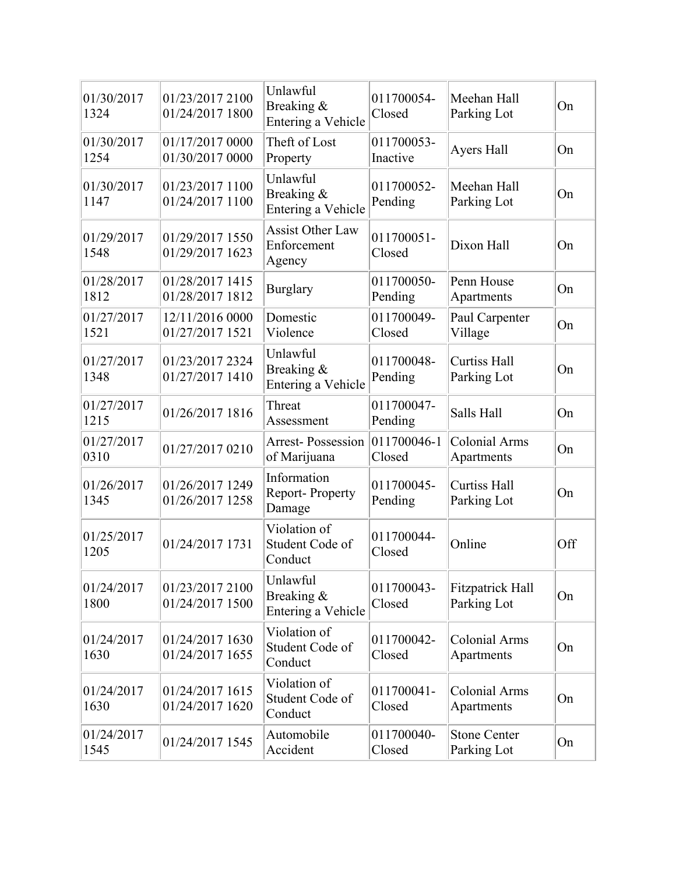| 01/30/2017<br>1324 | 01/23/2017 2100<br>01/24/2017 1800 | Unlawful<br>Breaking &<br>Entering a Vehicle     | 011700054-<br>Closed   | Meehan Hall<br>Parking Lot             | On  |
|--------------------|------------------------------------|--------------------------------------------------|------------------------|----------------------------------------|-----|
| 01/30/2017<br>1254 | 01/17/2017 0000<br>01/30/2017 0000 | Theft of Lost<br>Property                        | 011700053-<br>Inactive | Ayers Hall                             | On  |
| 01/30/2017<br>1147 | 01/23/2017 1100<br>01/24/2017 1100 | Unlawful<br>Breaking &<br>Entering a Vehicle     | 011700052-<br>Pending  | Meehan Hall<br>Parking Lot             | On  |
| 01/29/2017<br>1548 | 01/29/2017 1550<br>01/29/2017 1623 | <b>Assist Other Law</b><br>Enforcement<br>Agency | 011700051-<br>Closed   | Dixon Hall                             | On  |
| 01/28/2017<br>1812 | 01/28/2017 1415<br>01/28/2017 1812 | <b>Burglary</b>                                  | 011700050-<br>Pending  | Penn House<br>Apartments               | On  |
| 01/27/2017<br>1521 | 12/11/2016 0000<br>01/27/2017 1521 | Domestic<br>Violence                             | 011700049-<br>Closed   | Paul Carpenter<br>Village              | On  |
| 01/27/2017<br>1348 | 01/23/2017 2324<br>01/27/2017 1410 | Unlawful<br>Breaking &<br>Entering a Vehicle     | 011700048-<br>Pending  | <b>Curtiss Hall</b><br>Parking Lot     | On  |
| 01/27/2017<br>1215 | 01/26/2017 1816                    | Threat<br>Assessment                             | 011700047-<br>Pending  | Salls Hall                             | On  |
| 01/27/2017<br>0310 | 01/27/2017 0210                    | Arrest-Possession 011700046-1<br>of Marijuana    | Closed                 | <b>Colonial Arms</b><br>Apartments     | On  |
| 01/26/2017<br>1345 | 01/26/2017 1249<br>01/26/2017 1258 | Information<br><b>Report-Property</b><br>Damage  | 011700045-<br>Pending  | <b>Curtiss Hall</b><br>Parking Lot     | On  |
| 01/25/2017<br>1205 | 01/24/2017 1731                    | Violation of<br>Student Code of<br>Conduct       | 011700044-<br>Closed   | Online                                 | Off |
| 01/24/2017<br>1800 | 01/23/2017 2100<br>01/24/2017 1500 | Unlawful<br>Breaking &<br>Entering a Vehicle     | 011700043-<br>Closed   | <b>Fitzpatrick Hall</b><br>Parking Lot | On  |
| 01/24/2017<br>1630 | 01/24/2017 1630<br>01/24/2017 1655 | Violation of<br>Student Code of<br>Conduct       | 011700042-<br>Closed   | <b>Colonial Arms</b><br>Apartments     | On  |
| 01/24/2017<br>1630 | 01/24/2017 1615<br>01/24/2017 1620 | Violation of<br>Student Code of<br>Conduct       | 011700041-<br>Closed   | <b>Colonial Arms</b><br>Apartments     | On  |
| 01/24/2017<br>1545 | 01/24/2017 1545                    | Automobile<br>Accident                           | 011700040-<br>Closed   | <b>Stone Center</b><br>Parking Lot     | On  |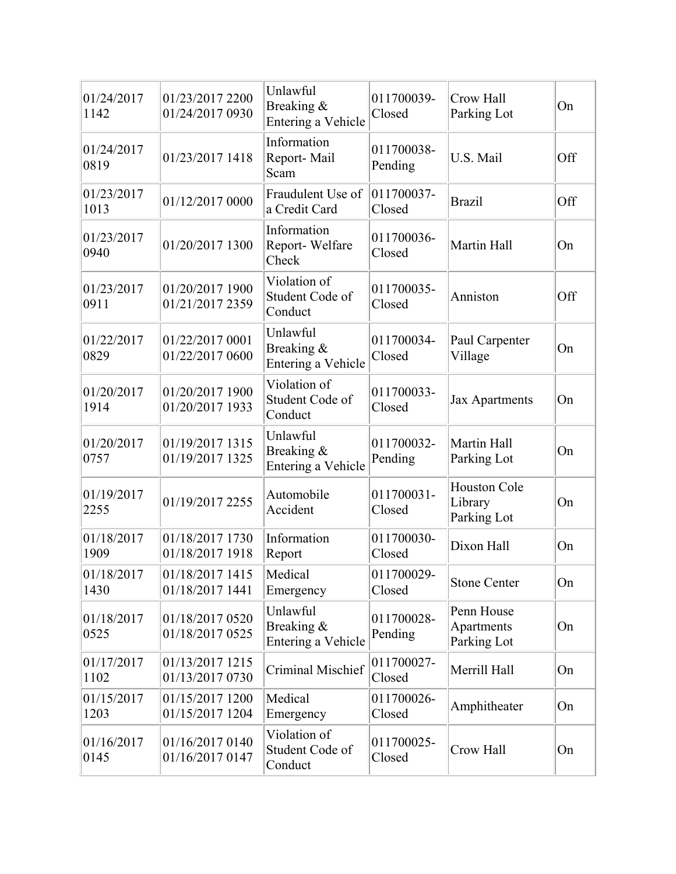| 01/24/2017<br>1142 | 01/23/2017 2200<br>01/24/2017 0930 | Unlawful<br>Breaking &<br>Entering a Vehicle | 011700039-<br>Closed  | Crow Hall<br>Parking Lot                      | On  |
|--------------------|------------------------------------|----------------------------------------------|-----------------------|-----------------------------------------------|-----|
| 01/24/2017<br>0819 | 01/23/2017 1418                    | Information<br>Report-Mail<br>Scam           | 011700038-<br>Pending | U.S. Mail                                     | Off |
| 01/23/2017<br>1013 | 01/12/2017 0000                    | Fraudulent Use of<br>a Credit Card           | 011700037-<br>Closed  | <b>Brazil</b>                                 | Off |
| 01/23/2017<br>0940 | 01/20/2017 1300                    | Information<br>Report-Welfare<br>Check       | 011700036-<br>Closed  | Martin Hall                                   | On  |
| 01/23/2017<br>0911 | 01/20/2017 1900<br>01/21/2017 2359 | Violation of<br>Student Code of<br>Conduct   | 011700035-<br>Closed  | Anniston                                      | Off |
| 01/22/2017<br>0829 | 01/22/2017 0001<br>01/22/2017 0600 | Unlawful<br>Breaking &<br>Entering a Vehicle | 011700034-<br>Closed  | Paul Carpenter<br>Village                     | On  |
| 01/20/2017<br>1914 | 01/20/2017 1900<br>01/20/2017 1933 | Violation of<br>Student Code of<br>Conduct   | 011700033-<br>Closed  | <b>Jax Apartments</b>                         | On  |
| 01/20/2017<br>0757 | 01/19/2017 1315<br>01/19/2017 1325 | Unlawful<br>Breaking &<br>Entering a Vehicle | 011700032-<br>Pending | Martin Hall<br>Parking Lot                    | On  |
| 01/19/2017<br>2255 | 01/19/2017 2255                    | Automobile<br>Accident                       | 011700031-<br>Closed  | <b>Houston Cole</b><br>Library<br>Parking Lot | On  |
| 01/18/2017<br>1909 | 01/18/2017 1730<br>01/18/2017 1918 | Information<br>Report                        | 011700030-<br>Closed  | Dixon Hall                                    | On  |
| 01/18/2017<br>1430 | 01/18/2017 1415<br>01/18/2017 1441 | Medical<br>Emergency                         | 011700029-<br>Closed  | <b>Stone Center</b>                           | On  |
| 01/18/2017<br>0525 | 01/18/2017 0520<br>01/18/2017 0525 | Unlawful<br>Breaking &<br>Entering a Vehicle | 011700028-<br>Pending | Penn House<br>Apartments<br>Parking Lot       | On  |
| 01/17/2017<br>1102 | 01/13/2017 1215<br>01/13/2017 0730 | Criminal Mischief                            | 011700027-<br>Closed  | Merrill Hall                                  | On  |
| 01/15/2017<br>1203 | 01/15/2017 1200<br>01/15/2017 1204 | Medical<br>Emergency                         | 011700026-<br>Closed  | Amphitheater                                  | On  |
| 01/16/2017<br>0145 | 01/16/2017 0140<br>01/16/2017 0147 | Violation of<br>Student Code of<br>Conduct   | 011700025-<br>Closed  | Crow Hall                                     | On  |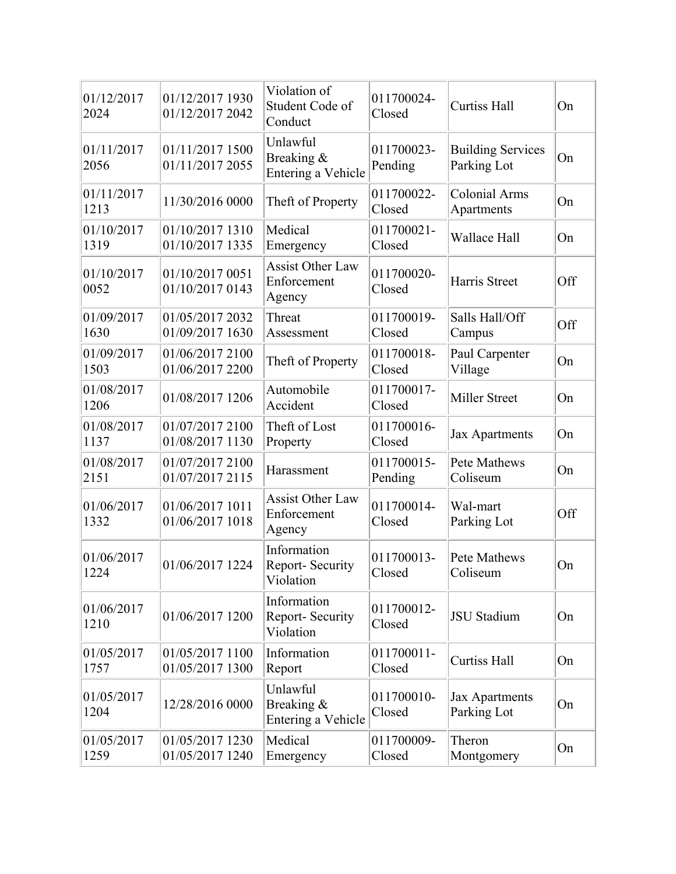| 01/12/2017<br>2024 | 01/12/2017 1930<br>01/12/2017 2042 | Violation of<br>Student Code of<br>Conduct       | 011700024-<br>Closed  | <b>Curtiss Hall</b>                     | On  |
|--------------------|------------------------------------|--------------------------------------------------|-----------------------|-----------------------------------------|-----|
| 01/11/2017<br>2056 | 01/11/2017 1500<br>01/11/2017 2055 | Unlawful<br>Breaking &<br>Entering a Vehicle     | 011700023-<br>Pending | <b>Building Services</b><br>Parking Lot | On  |
| 01/11/2017<br>1213 | 11/30/2016 0000                    | Theft of Property                                | 011700022-<br>Closed  | <b>Colonial Arms</b><br>Apartments      | On  |
| 01/10/2017<br>1319 | 01/10/2017 1310<br>01/10/2017 1335 | Medical<br>Emergency                             | 011700021-<br>Closed  | Wallace Hall                            | On  |
| 01/10/2017<br>0052 | 01/10/2017 0051<br>01/10/2017 0143 | <b>Assist Other Law</b><br>Enforcement<br>Agency | 011700020-<br>Closed  | Harris Street                           | Off |
| 01/09/2017<br>1630 | 01/05/2017 2032<br>01/09/2017 1630 | Threat<br>Assessment                             | 011700019-<br>Closed  | Salls Hall/Off<br>Campus                | Off |
| 01/09/2017<br>1503 | 01/06/2017 2100<br>01/06/2017 2200 | Theft of Property                                | 011700018-<br>Closed  | Paul Carpenter<br>Village               | On  |
| 01/08/2017<br>1206 | 01/08/2017 1206                    | Automobile<br>Accident                           | 011700017-<br>Closed  | <b>Miller Street</b>                    | On  |
| 01/08/2017<br>1137 | 01/07/2017 2100<br>01/08/2017 1130 | Theft of Lost<br>Property                        | 011700016-<br>Closed  | <b>Jax Apartments</b>                   | On  |
| 01/08/2017<br>2151 | 01/07/2017 2100<br>01/07/2017 2115 | Harassment                                       | 011700015-<br>Pending | Pete Mathews<br>Coliseum                | On  |
| 01/06/2017<br>1332 | 01/06/2017 1011<br>01/06/2017 1018 | <b>Assist Other Law</b><br>Enforcement<br>Agency | 011700014-<br>Closed  | Wal-mart<br>Parking Lot                 | Off |
| 01/06/2017<br>1224 | 01/06/2017 1224                    | Information<br>Report- Security<br>Violation     | 011700013-<br>Closed  | <b>Pete Mathews</b><br>Coliseum         | On  |
| 01/06/2017<br>1210 | 01/06/2017 1200                    | Information<br>Report-Security<br>Violation      | 011700012-<br>Closed  | <b>JSU</b> Stadium                      | On  |
| 01/05/2017<br>1757 | 01/05/2017 1100<br>01/05/2017 1300 | Information<br>Report                            | 011700011-<br>Closed  | <b>Curtiss Hall</b>                     | On  |
| 01/05/2017<br>1204 | 12/28/2016 0000                    | Unlawful<br>Breaking &<br>Entering a Vehicle     | 011700010-<br>Closed  | Jax Apartments<br>Parking Lot           | On  |
| 01/05/2017<br>1259 | 01/05/2017 1230<br>01/05/2017 1240 | Medical<br>Emergency                             | 011700009-<br>Closed  | Theron<br>Montgomery                    | On  |